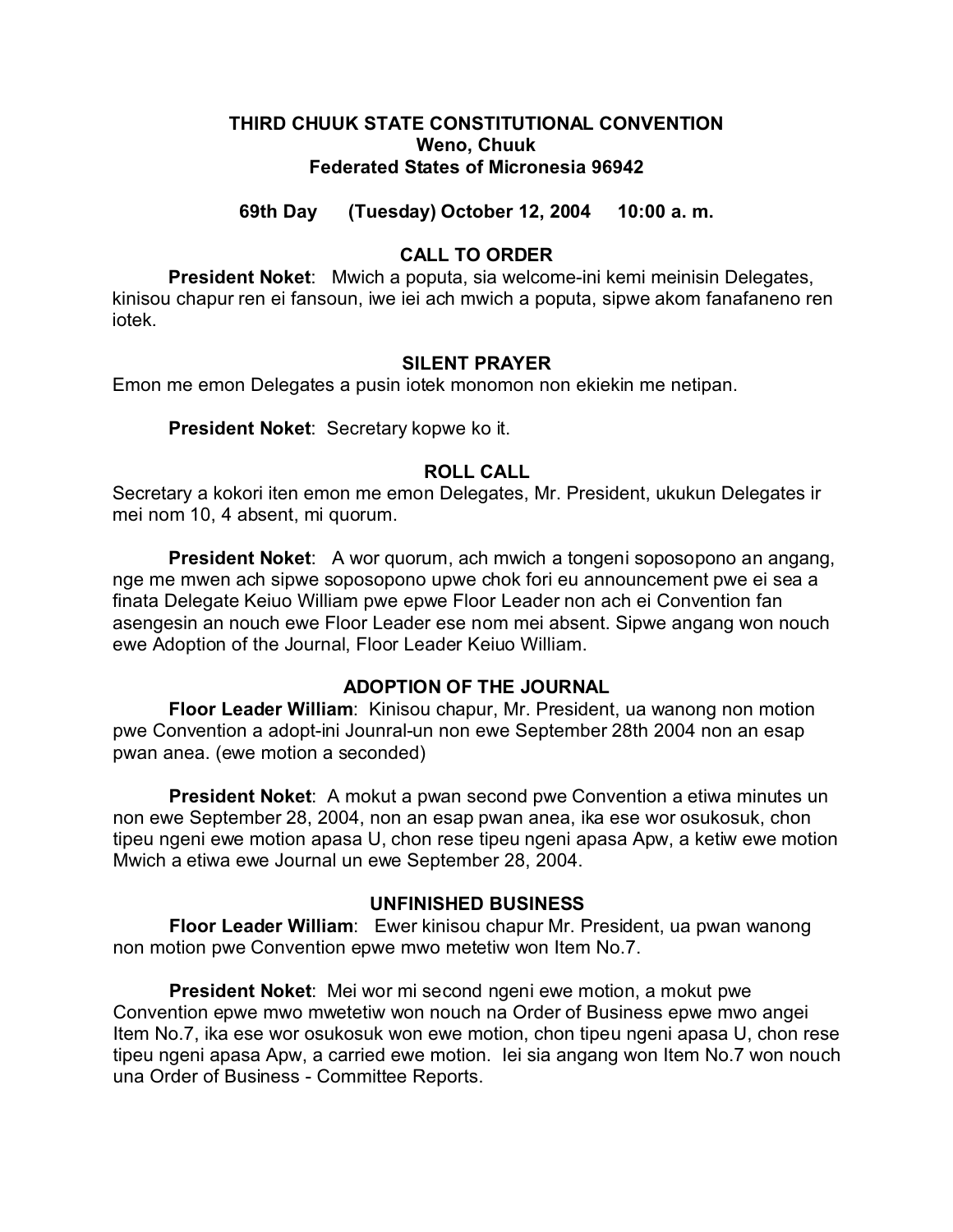## **THIRD CHUUK STATE CONSTITUTIONAL CONVENTION Weno, Chuuk Federated States of Micronesia 96942**

# **69th Day (Tuesday) October 12, 2004 10:00 a. m.**

## **CALL TO ORDER**

**President Noket**: Mwich a poputa, sia welcome-ini kemi meinisin Delegates, kinisou chapur ren ei fansoun, iwe iei ach mwich a poputa, sipwe akom fanafaneno ren iotek.

## **SILENT PRAYER**

Emon me emon Delegates a pusin iotek monomon non ekiekin me netipan.

**President Noket**: Secretary kopwe ko it.

# **ROLL CALL**

Secretary a kokori iten emon me emon Delegates, Mr. President, ukukun Delegates ir mei nom 10, 4 absent, mi quorum.

**President Noket:** A wor quorum, ach mwich a tongeni soposopono an angang, nge me mwen ach sipwe soposopono upwe chok fori eu announcement pwe ei sea a finata Delegate Keiuo William pwe epwe Floor Leader non ach ei Convention fan asengesin an nouch ewe Floor Leader ese nom mei absent. Sipwe angang won nouch ewe Adoption of the Journal, Floor Leader Keiuo William.

# **ADOPTION OF THE JOURNAL**

**Floor Leader William**: Kinisou chapur, Mr. President, ua wanong non motion pwe Convention a adopt-ini Jounral-un non ewe September 28th 2004 non an esap pwan anea. (ewe motion a seconded)

**President Noket:** A mokut a pwan second pwe Convention a etiwa minutes un non ewe September 28, 2004, non an esap pwan anea, ika ese wor osukosuk, chon tipeu ngeni ewe motion apasa U, chon rese tipeu ngeni apasa Apw, a ketiw ewe motion Mwich a etiwa ewe Journal un ewe September 28, 2004.

## **UNFINISHED BUSINESS**

**Floor Leader William**: Ewer kinisou chapur Mr. President, ua pwan wanong non motion pwe Convention epwe mwo metetiw won Item No.7.

**President Noket**: Mei wor mi second ngeni ewe motion, a mokut pwe Convention epwe mwo mwetetiw won nouch na Order of Business epwe mwo angei Item No.7, ika ese wor osukosuk won ewe motion, chon tipeu ngeni apasa U, chon rese tipeu ngeni apasa Apw, a carried ewe motion. Iei sia angang won Item No.7 won nouch una Order of Business - Committee Reports.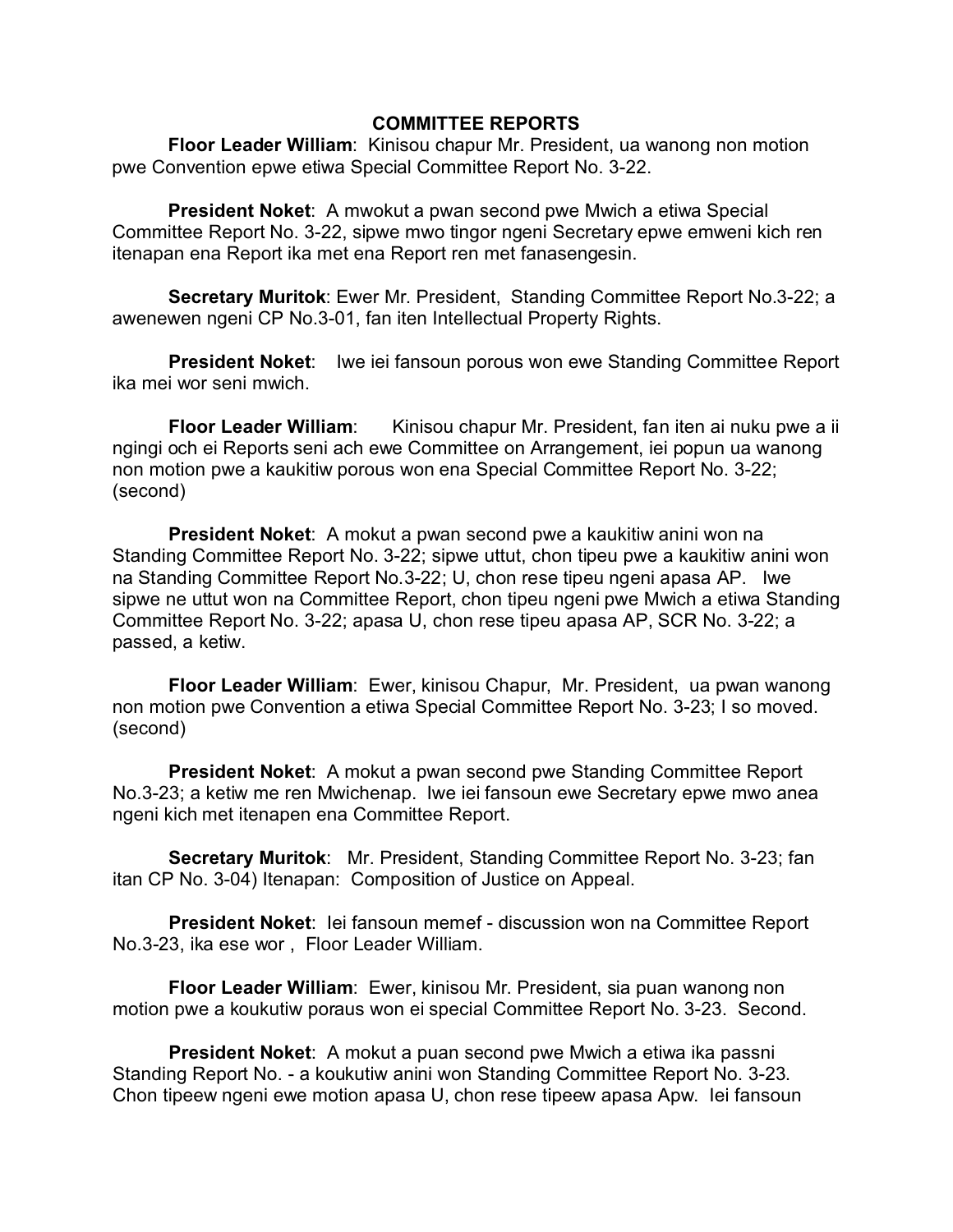## **COMMITTEE REPORTS**

**Floor Leader William**: Kinisou chapur Mr. President, ua wanong non motion pwe Convention epwe etiwa Special Committee Report No. 3-22.

**President Noket**: A mwokut a pwan second pwe Mwich a etiwa Special Committee Report No. 3-22, sipwe mwo tingor ngeni Secretary epwe emweni kich ren itenapan ena Report ika met ena Report ren met fanasengesin.

**Secretary Muritok**: Ewer Mr. President, Standing Committee Report No.3-22; a awenewen ngeni CP No.3-01, fan iten Intellectual Property Rights.

**President Noket:** Iwe iei fansoun porous won ewe Standing Committee Report ika mei wor seni mwich.

**Floor Leader William:** Kinisou chapur Mr. President, fan iten ai nuku pwe a ii ngingi och ei Reports seni ach ewe Committee on Arrangement, iei popun ua wanong non motion pwe a kaukitiw porous won ena Special Committee Report No. 3-22; (second)

**President Noket**: A mokut a pwan second pwe a kaukitiw anini won na Standing Committee Report No. 3-22; sipwe uttut, chon tipeu pwe a kaukitiw anini won na Standing Committee Report No.3-22; U, chon rese tipeu ngeni apasa AP. Iwe sipwe ne uttut won na Committee Report, chon tipeu ngeni pwe Mwich a etiwa Standing Committee Report No. 3-22; apasa U, chon rese tipeu apasa AP, SCR No. 3-22; a passed, a ketiw.

**Floor Leader William**: Ewer, kinisou Chapur, Mr. President, ua pwan wanong non motion pwe Convention a etiwa Special Committee Report No. 3-23; I so moved. (second)

**President Noket**: A mokut a pwan second pwe Standing Committee Report No.3-23; a ketiw me ren Mwichenap. Iwe iei fansoun ewe Secretary epwe mwo anea ngeni kich met itenapen ena Committee Report.

**Secretary Muritok**: Mr. President, Standing Committee Report No. 3-23; fan itan CP No. 3-04) Itenapan: Composition of Justice on Appeal.

**President Noket**: Iei fansoun memef - discussion won na Committee Report No.3-23, ika ese wor , Floor Leader William.

**Floor Leader William**: Ewer, kinisou Mr. President, sia puan wanong non motion pwe a koukutiw poraus won ei special Committee Report No. 3-23. Second.

**President Noket**: A mokut a puan second pwe Mwich a etiwa ika passni Standing Report No. - a koukutiw anini won Standing Committee Report No. 3-23. Chon tipeew ngeni ewe motion apasa U, chon rese tipeew apasa Apw. Iei fansoun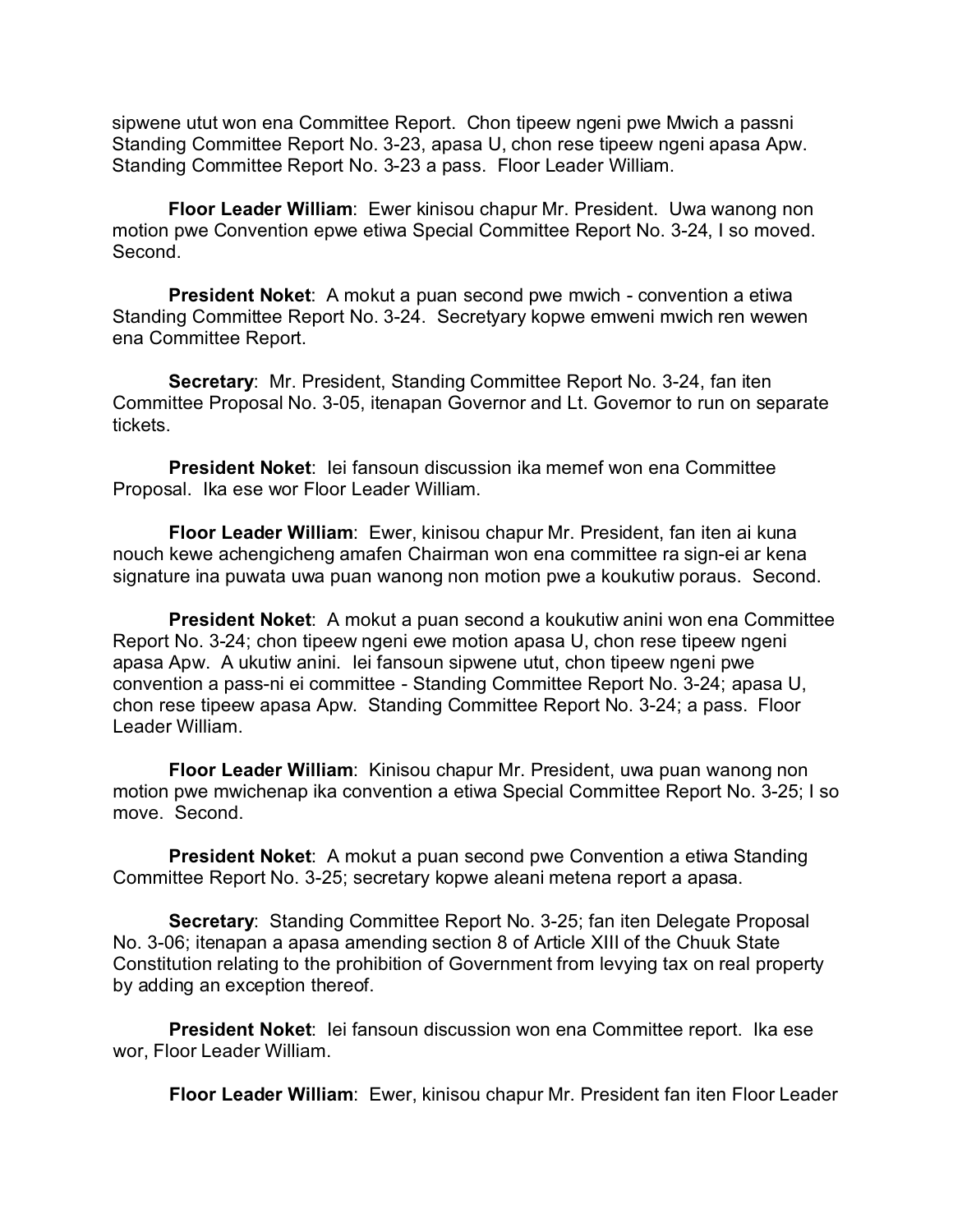sipwene utut won ena Committee Report. Chon tipeew ngeni pwe Mwich a passni Standing Committee Report No. 3-23, apasa U, chon rese tipeew ngeni apasa Apw. Standing Committee Report No. 3-23 a pass. Floor Leader William.

**Floor Leader William**: Ewer kinisou chapur Mr. President. Uwa wanong non motion pwe Convention epwe etiwa Special Committee Report No. 3-24, I so moved. Second.

**President Noket**: A mokut a puan second pwe mwich - convention a etiwa Standing Committee Report No. 3-24. Secretyary kopwe emweni mwich ren wewen ena Committee Report.

**Secretary**: Mr. President, Standing Committee Report No. 3-24, fan iten Committee Proposal No. 3-05, itenapan Governor and Lt. Governor to run on separate tickets.

**President Noket**: Iei fansoun discussion ika memef won ena Committee Proposal. Ika ese wor Floor Leader William.

**Floor Leader William**: Ewer, kinisou chapur Mr. President, fan iten ai kuna nouch kewe achengicheng amafen Chairman won ena committee ra sign-ei ar kena signature ina puwata uwa puan wanong non motion pwe a koukutiw poraus. Second.

**President Noket**: A mokut a puan second a koukutiw anini won ena Committee Report No. 3-24; chon tipeew ngeni ewe motion apasa U, chon rese tipeew ngeni apasa Apw. A ukutiw anini. Iei fansoun sipwene utut, chon tipeew ngeni pwe convention a pass-ni ei committee - Standing Committee Report No. 3-24; apasa U, chon rese tipeew apasa Apw. Standing Committee Report No. 3-24; a pass. Floor Leader William.

**Floor Leader William**: Kinisou chapur Mr. President, uwa puan wanong non motion pwe mwichenap ika convention a etiwa Special Committee Report No. 3-25; I so move. Second.

**President Noket**: A mokut a puan second pwe Convention a etiwa Standing Committee Report No. 3-25; secretary kopwe aleani metena report a apasa.

**Secretary**: Standing Committee Report No. 3-25; fan iten Delegate Proposal No. 3-06; itenapan a apasa amending section 8 of Article XIII of the Chuuk State Constitution relating to the prohibition of Government from levying tax on real property by adding an exception thereof.

**President Noket**: Iei fansoun discussion won ena Committee report. Ika ese wor, Floor Leader William.

**Floor Leader William**: Ewer, kinisou chapur Mr. President fan iten Floor Leader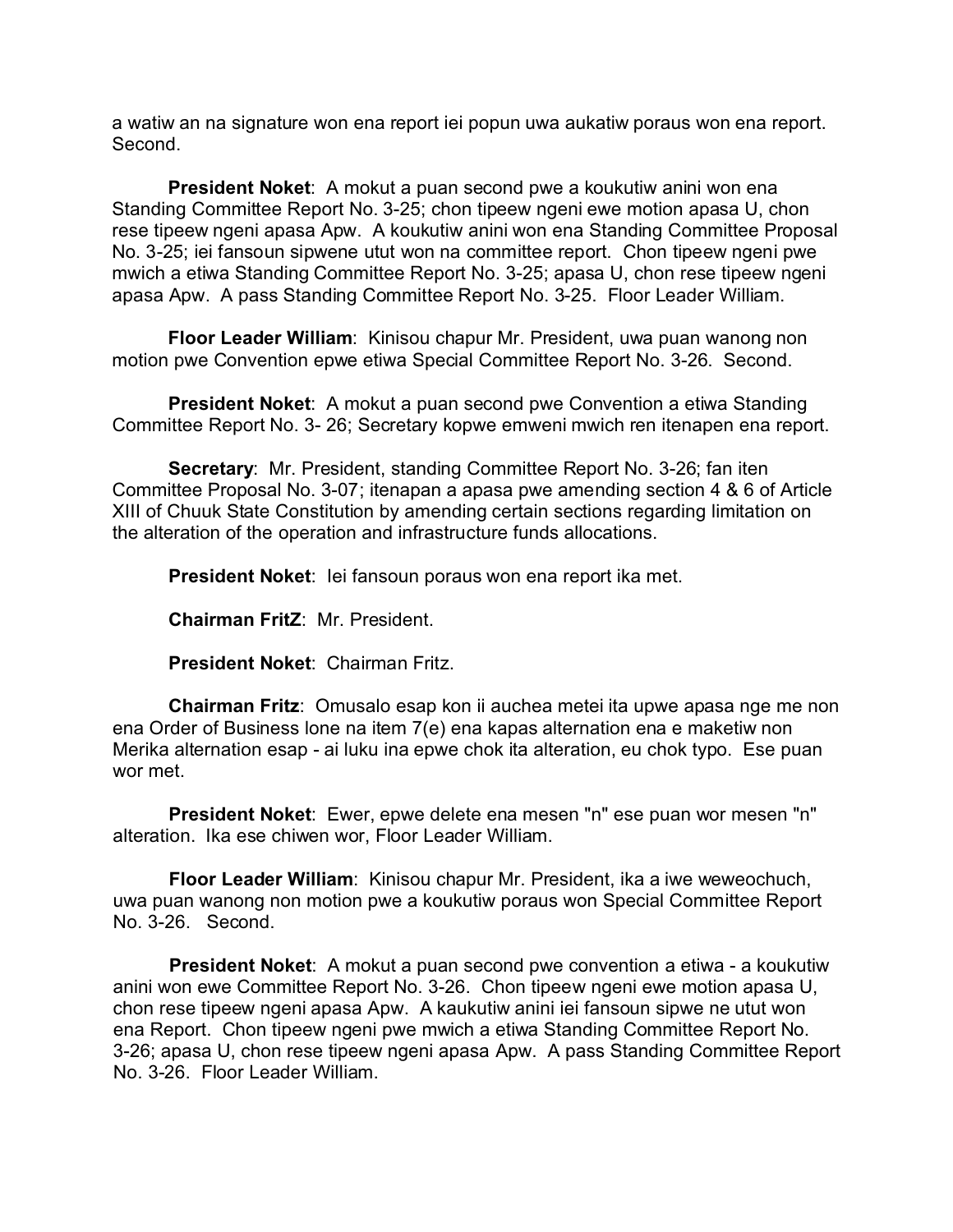a watiw an na signature won ena report iei popun uwa aukatiw poraus won ena report. Second.

**President Noket**: A mokut a puan second pwe a koukutiw anini won ena Standing Committee Report No. 3-25; chon tipeew ngeni ewe motion apasa U, chon rese tipeew ngeni apasa Apw. A koukutiw anini won ena Standing Committee Proposal No. 3-25; iei fansoun sipwene utut won na committee report. Chon tipeew ngeni pwe mwich a etiwa Standing Committee Report No. 3-25; apasa U, chon rese tipeew ngeni apasa Apw. A pass Standing Committee Report No. 3-25. Floor Leader William.

**Floor Leader William**: Kinisou chapur Mr. President, uwa puan wanong non motion pwe Convention epwe etiwa Special Committee Report No. 3-26. Second.

**President Noket**: A mokut a puan second pwe Convention a etiwa Standing Committee Report No. 3- 26; Secretary kopwe emweni mwich ren itenapen ena report.

**Secretary**: Mr. President, standing Committee Report No. 3-26; fan iten Committee Proposal No. 3-07; itenapan a apasa pwe amending section 4 & 6 of Article XIII of Chuuk State Constitution by amending certain sections regarding limitation on the alteration of the operation and infrastructure funds allocations.

**President Noket**: Iei fansoun poraus won ena report ika met.

**Chairman FritZ**: Mr. President.

**President Noket**: Chairman Fritz.

**Chairman Fritz**: Omusalo esap kon ii auchea metei ita upwe apasa nge me non ena Order of Business lone na item 7(e) ena kapas alternation ena e maketiw non Merika alternation esap - ai luku ina epwe chok ita alteration, eu chok typo. Ese puan wor met.

**President Noket**: Ewer, epwe delete ena mesen "n" ese puan wor mesen "n" alteration. Ika ese chiwen wor, Floor Leader William.

**Floor Leader William**: Kinisou chapur Mr. President, ika a iwe weweochuch, uwa puan wanong non motion pwe a koukutiw poraus won Special Committee Report No. 3-26. Second.

**President Noket:** A mokut a puan second pwe convention a etiwa - a koukutiw anini won ewe Committee Report No. 3-26. Chon tipeew ngeni ewe motion apasa U, chon rese tipeew ngeni apasa Apw. A kaukutiw anini iei fansoun sipwe ne utut won ena Report. Chon tipeew ngeni pwe mwich a etiwa Standing Committee Report No. 3-26; apasa U, chon rese tipeew ngeni apasa Apw. A pass Standing Committee Report No. 3-26. Floor Leader William.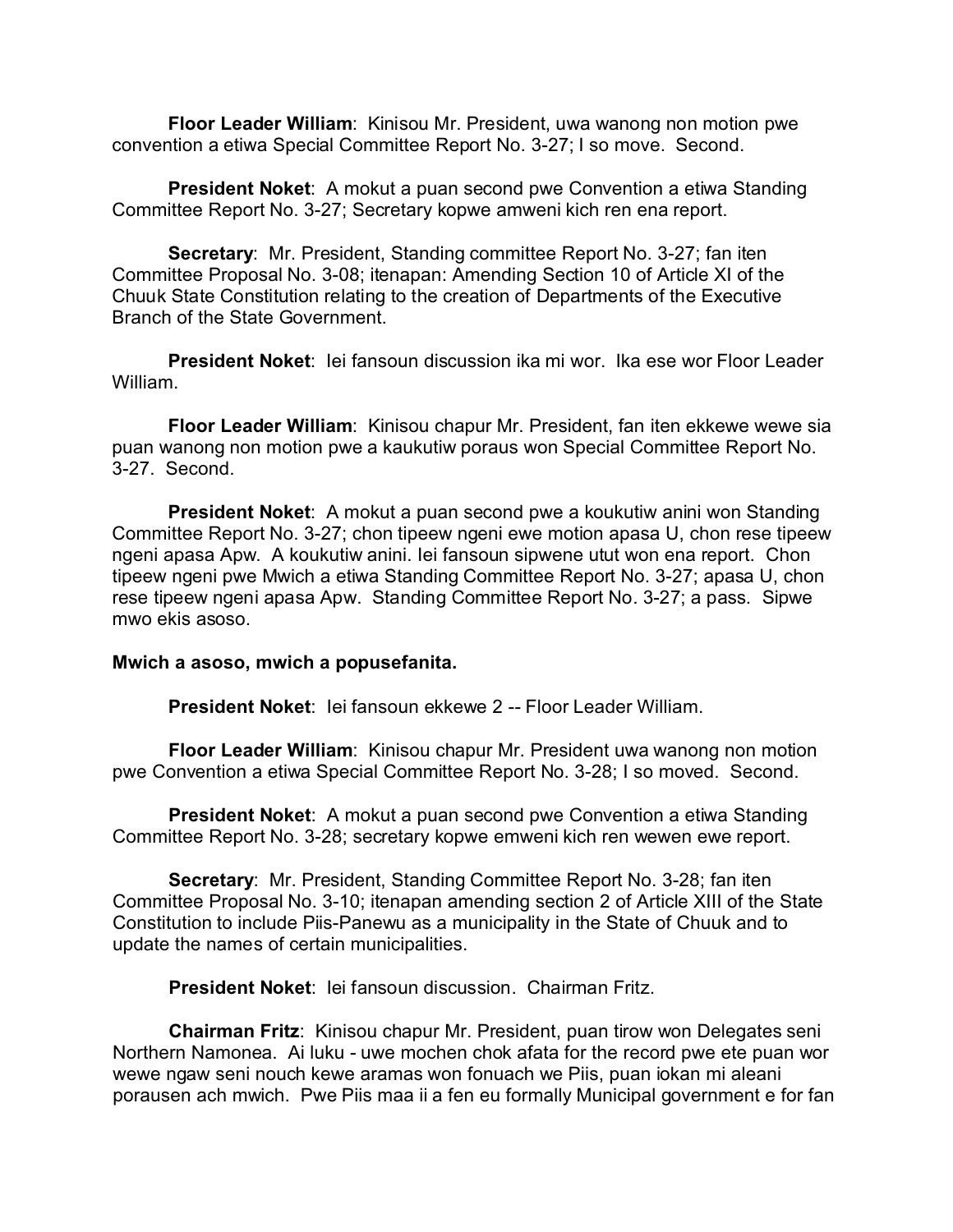**Floor Leader William**: Kinisou Mr. President, uwa wanong non motion pwe convention a etiwa Special Committee Report No. 3-27; I so move. Second.

**President Noket**: A mokut a puan second pwe Convention a etiwa Standing Committee Report No. 3-27; Secretary kopwe amweni kich ren ena report.

**Secretary**: Mr. President, Standing committee Report No. 3-27; fan iten Committee Proposal No. 3-08; itenapan: Amending Section 10 of Article XI of the Chuuk State Constitution relating to the creation of Departments of the Executive Branch of the State Government.

**President Noket**: Iei fansoun discussion ika mi wor. Ika ese wor Floor Leader William.

**Floor Leader William**: Kinisou chapur Mr. President, fan iten ekkewe wewe sia puan wanong non motion pwe a kaukutiw poraus won Special Committee Report No. 3-27. Second.

**President Noket**: A mokut a puan second pwe a koukutiw anini won Standing Committee Report No. 3-27; chon tipeew ngeni ewe motion apasa U, chon rese tipeew ngeni apasa Apw. A koukutiw anini. Iei fansoun sipwene utut won ena report. Chon tipeew ngeni pwe Mwich a etiwa Standing Committee Report No. 3-27; apasa U, chon rese tipeew ngeni apasa Apw. Standing Committee Report No. 3-27; a pass. Sipwe mwo ekis asoso.

## **Mwich a asoso, mwich a popusefanita.**

**President Noket**: Iei fansoun ekkewe 2 -- Floor Leader William.

**Floor Leader William**: Kinisou chapur Mr. President uwa wanong non motion pwe Convention a etiwa Special Committee Report No. 3-28; I so moved. Second.

**President Noket**: A mokut a puan second pwe Convention a etiwa Standing Committee Report No. 3-28; secretary kopwe emweni kich ren wewen ewe report.

**Secretary**: Mr. President, Standing Committee Report No. 3-28; fan iten Committee Proposal No. 3-10; itenapan amending section 2 of Article XIII of the State Constitution to include Piis-Panewu as a municipality in the State of Chuuk and to update the names of certain municipalities.

**President Noket**: Iei fansoun discussion. Chairman Fritz.

**Chairman Fritz**: Kinisou chapur Mr. President, puan tirow won Delegates seni Northern Namonea. Ai luku - uwe mochen chok afata for the record pwe ete puan wor wewe ngaw seni nouch kewe aramas won fonuach we Piis, puan iokan mi aleani porausen ach mwich. Pwe Piis maa ii a fen eu formally Municipal government e for fan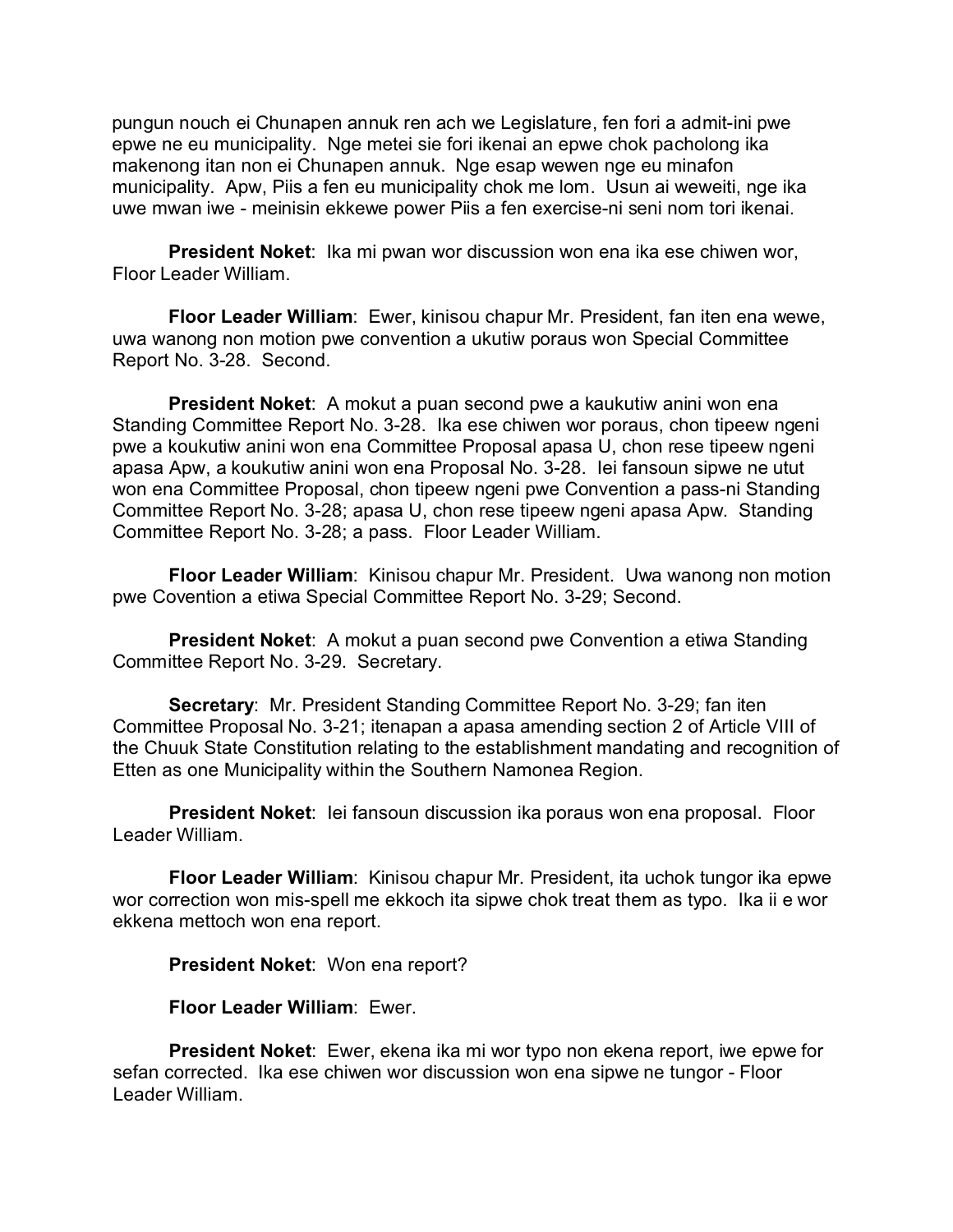pungun nouch ei Chunapen annuk ren ach we Legislature, fen fori a admit-ini pwe epwe ne eu municipality. Nge metei sie fori ikenai an epwe chok pacholong ika makenong itan non ei Chunapen annuk. Nge esap wewen nge eu minafon municipality. Apw, Piis a fen eu municipality chok me lom. Usun ai weweiti, nge ika uwe mwan iwe - meinisin ekkewe power Piis a fen exercise-ni seni nom tori ikenai.

**President Noket**: Ika mi pwan wor discussion won ena ika ese chiwen wor, Floor Leader William.

**Floor Leader William**: Ewer, kinisou chapur Mr. President, fan iten ena wewe, uwa wanong non motion pwe convention a ukutiw poraus won Special Committee Report No. 3-28. Second.

**President Noket**: A mokut a puan second pwe a kaukutiw anini won ena Standing Committee Report No. 3-28. Ika ese chiwen wor poraus, chon tipeew ngeni pwe a koukutiw anini won ena Committee Proposal apasa U, chon rese tipeew ngeni apasa Apw, a koukutiw anini won ena Proposal No. 3-28. Iei fansoun sipwe ne utut won ena Committee Proposal, chon tipeew ngeni pwe Convention a pass-ni Standing Committee Report No. 3-28; apasa U, chon rese tipeew ngeni apasa Apw. Standing Committee Report No. 3-28; a pass. Floor Leader William.

**Floor Leader William**: Kinisou chapur Mr. President. Uwa wanong non motion pwe Covention a etiwa Special Committee Report No. 3-29; Second.

**President Noket**: A mokut a puan second pwe Convention a etiwa Standing Committee Report No. 3-29. Secretary.

**Secretary**: Mr. President Standing Committee Report No. 3-29; fan iten Committee Proposal No. 3-21; itenapan a apasa amending section 2 of Article VIII of the Chuuk State Constitution relating to the establishment mandating and recognition of Etten as one Municipality within the Southern Namonea Region.

**President Noket**: Iei fansoun discussion ika poraus won ena proposal. Floor Leader William.

**Floor Leader William**: Kinisou chapur Mr. President, ita uchok tungor ika epwe wor correction won mis-spell me ekkoch ita sipwe chok treat them as typo. Ika ii e wor ekkena mettoch won ena report.

**President Noket**: Won ena report?

**Floor Leader William**: Ewer.

**President Noket**: Ewer, ekena ika mi wor typo non ekena report, iwe epwe for sefan corrected. Ika ese chiwen wor discussion won ena sipwe ne tungor - Floor Leader William.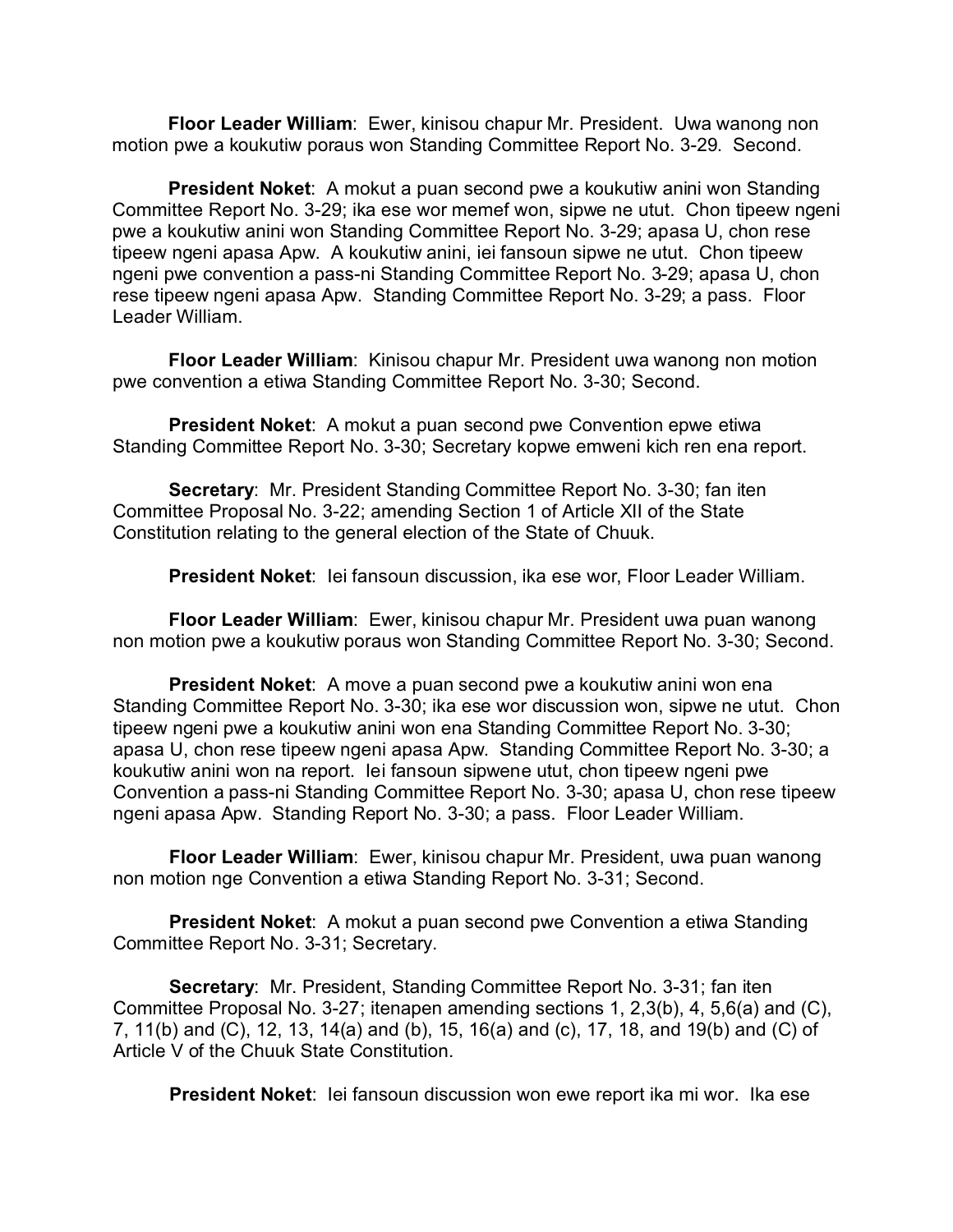**Floor Leader William**: Ewer, kinisou chapur Mr. President. Uwa wanong non motion pwe a koukutiw poraus won Standing Committee Report No. 3-29. Second.

**President Noket:** A mokut a puan second pwe a koukutiw anini won Standing Committee Report No. 3-29; ika ese wor memef won, sipwe ne utut. Chon tipeew ngeni pwe a koukutiw anini won Standing Committee Report No. 3-29; apasa U, chon rese tipeew ngeni apasa Apw. A koukutiw anini, iei fansoun sipwe ne utut. Chon tipeew ngeni pwe convention a pass-ni Standing Committee Report No. 3-29; apasa U, chon rese tipeew ngeni apasa Apw. Standing Committee Report No. 3-29; a pass. Floor Leader William.

**Floor Leader William**: Kinisou chapur Mr. President uwa wanong non motion pwe convention a etiwa Standing Committee Report No. 3-30; Second.

**President Noket**: A mokut a puan second pwe Convention epwe etiwa Standing Committee Report No. 3-30; Secretary kopwe emweni kich ren ena report.

**Secretary**: Mr. President Standing Committee Report No. 3-30; fan iten Committee Proposal No. 3-22; amending Section 1 of Article XII of the State Constitution relating to the general election of the State of Chuuk.

**President Noket**: Iei fansoun discussion, ika ese wor, Floor Leader William.

**Floor Leader William**: Ewer, kinisou chapur Mr. President uwa puan wanong non motion pwe a koukutiw poraus won Standing Committee Report No. 3-30; Second.

**President Noket:** A move a puan second pwe a koukutiw anini won ena Standing Committee Report No. 3-30; ika ese wor discussion won, sipwe ne utut. Chon tipeew ngeni pwe a koukutiw anini won ena Standing Committee Report No. 3-30; apasa U, chon rese tipeew ngeni apasa Apw. Standing Committee Report No. 3-30; a koukutiw anini won na report. Iei fansoun sipwene utut, chon tipeew ngeni pwe Convention a pass-ni Standing Committee Report No. 3-30; apasa U, chon rese tipeew ngeni apasa Apw. Standing Report No. 3-30; a pass. Floor Leader William.

**Floor Leader William**: Ewer, kinisou chapur Mr. President, uwa puan wanong non motion nge Convention a etiwa Standing Report No. 3-31; Second.

**President Noket**: A mokut a puan second pwe Convention a etiwa Standing Committee Report No. 3-31; Secretary.

**Secretary**: Mr. President, Standing Committee Report No. 3-31; fan iten Committee Proposal No. 3-27; itenapen amending sections 1, 2,3(b), 4, 5,6(a) and (C), 7, 11(b) and (C), 12, 13, 14(a) and (b), 15, 16(a) and (c), 17, 18, and 19(b) and (C) of Article V of the Chuuk State Constitution.

**President Noket**: Iei fansoun discussion won ewe report ika mi wor. Ika ese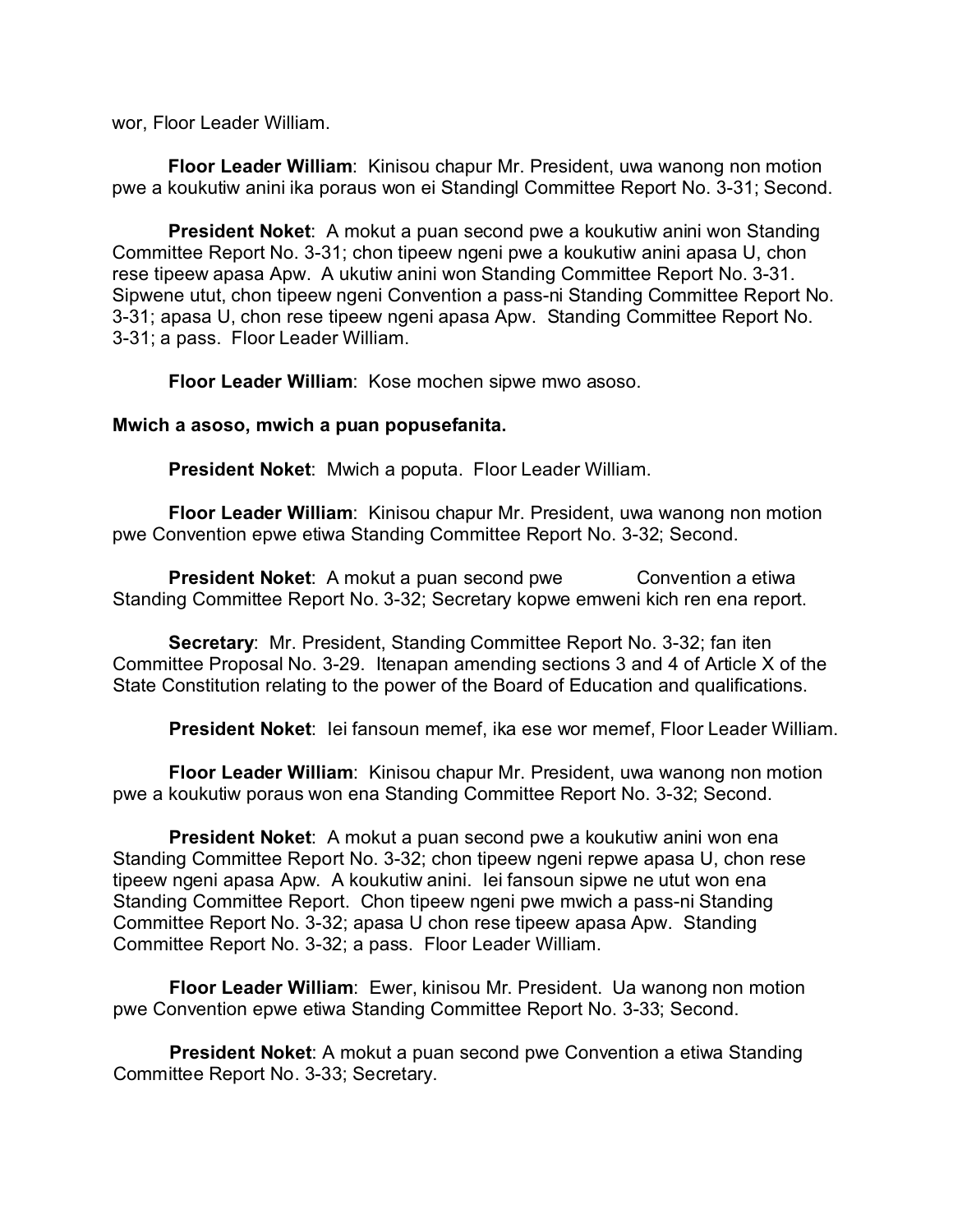wor, Floor Leader William.

**Floor Leader William**: Kinisou chapur Mr. President, uwa wanong non motion pwe a koukutiw anini ika poraus won ei Standingl Committee Report No. 3-31; Second.

**President Noket:** A mokut a puan second pwe a koukutiw anini won Standing Committee Report No. 3-31; chon tipeew ngeni pwe a koukutiw anini apasa U, chon rese tipeew apasa Apw. A ukutiw anini won Standing Committee Report No. 3-31. Sipwene utut, chon tipeew ngeni Convention a pass-ni Standing Committee Report No. 3-31; apasa U, chon rese tipeew ngeni apasa Apw. Standing Committee Report No. 3-31; a pass. Floor Leader William.

**Floor Leader William**: Kose mochen sipwe mwo asoso.

#### **Mwich a asoso, mwich a puan popusefanita.**

**President Noket**: Mwich a poputa. Floor Leader William.

**Floor Leader William**: Kinisou chapur Mr. President, uwa wanong non motion pwe Convention epwe etiwa Standing Committee Report No. 3-32; Second.

**President Noket:** A mokut a puan second pwe Convention a etiwa Standing Committee Report No. 3-32; Secretary kopwe emweni kich ren ena report.

**Secretary**: Mr. President, Standing Committee Report No. 3-32; fan iten Committee Proposal No. 3-29. Itenapan amending sections 3 and 4 of Article X of the State Constitution relating to the power of the Board of Education and qualifications.

**President Noket**: Iei fansoun memef, ika ese wor memef, Floor Leader William.

**Floor Leader William**: Kinisou chapur Mr. President, uwa wanong non motion pwe a koukutiw poraus won ena Standing Committee Report No. 3-32; Second.

**President Noket**: A mokut a puan second pwe a koukutiw anini won ena Standing Committee Report No. 3-32; chon tipeew ngeni repwe apasa U, chon rese tipeew ngeni apasa Apw. A koukutiw anini. Iei fansoun sipwe ne utut won ena Standing Committee Report. Chon tipeew ngeni pwe mwich a pass-ni Standing Committee Report No. 3-32; apasa U chon rese tipeew apasa Apw. Standing Committee Report No. 3-32; a pass. Floor Leader William.

**Floor Leader William**: Ewer, kinisou Mr. President. Ua wanong non motion pwe Convention epwe etiwa Standing Committee Report No. 3-33; Second.

**President Noket**: A mokut a puan second pwe Convention a etiwa Standing Committee Report No. 3-33; Secretary.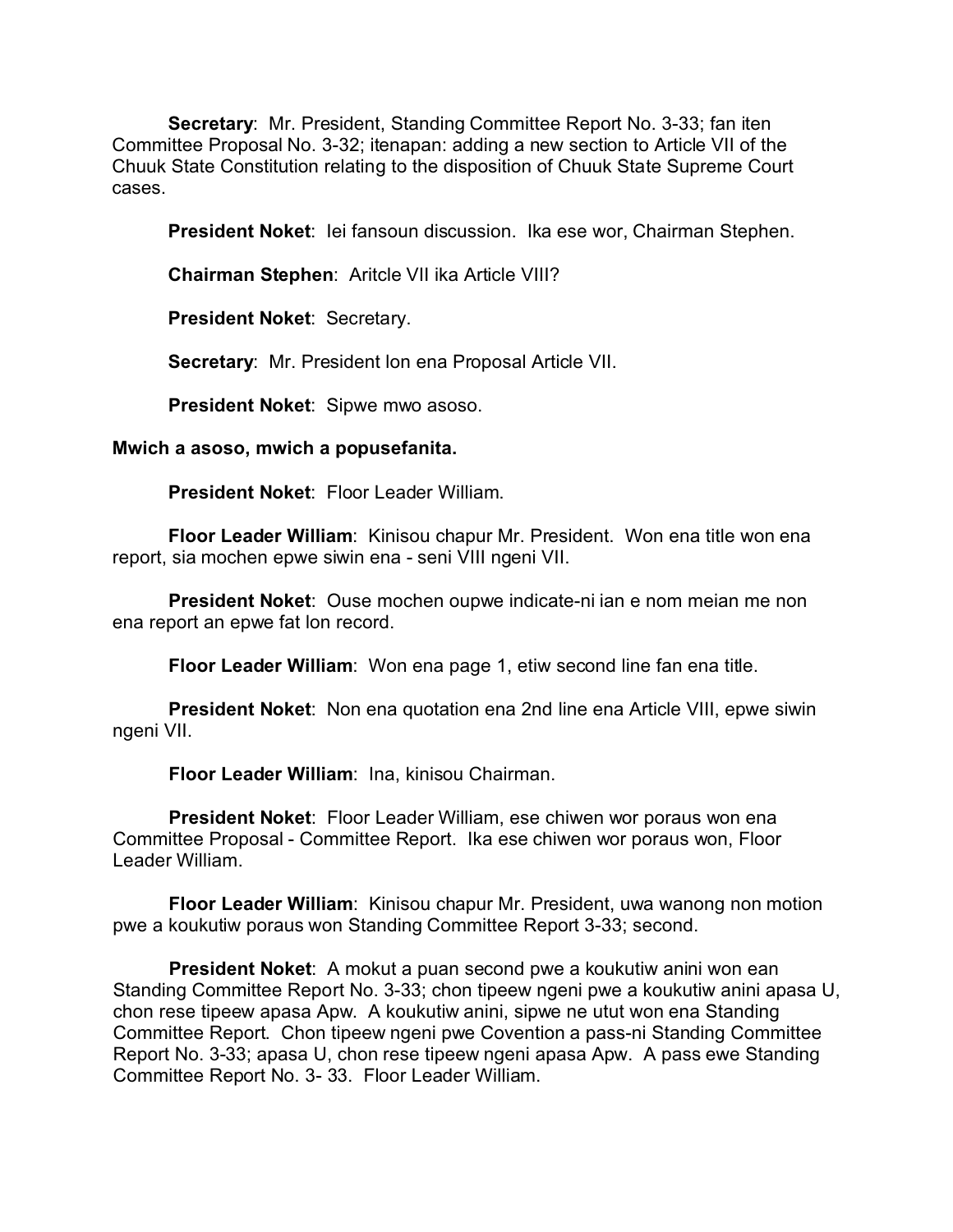**Secretary**: Mr. President, Standing Committee Report No. 3-33; fan iten Committee Proposal No. 3-32; itenapan: adding a new section to Article VII of the Chuuk State Constitution relating to the disposition of Chuuk State Supreme Court cases.

**President Noket**: Iei fansoun discussion. Ika ese wor, Chairman Stephen.

**Chairman Stephen**: Aritcle VII ika Article VIII?

**President Noket**: Secretary.

**Secretary**: Mr. President lon ena Proposal Article VII.

**President Noket**: Sipwe mwo asoso.

## **Mwich a asoso, mwich a popusefanita.**

**President Noket**: Floor Leader William.

**Floor Leader William**: Kinisou chapur Mr. President. Won ena title won ena report, sia mochen epwe siwin ena - seni VIII ngeni VII.

**President Noket**: Ouse mochen oupwe indicate-ni ian e nom meian me non ena report an epwe fat lon record.

**Floor Leader William**: Won ena page 1, etiw second line fan ena title.

**President Noket**: Non ena quotation ena 2nd line ena Article VIII, epwe siwin ngeni VII.

**Floor Leader William**: Ina, kinisou Chairman.

**President Noket**: Floor Leader William, ese chiwen wor poraus won ena Committee Proposal - Committee Report. Ika ese chiwen wor poraus won, Floor Leader William.

**Floor Leader William**: Kinisou chapur Mr. President, uwa wanong non motion pwe a koukutiw poraus won Standing Committee Report 3-33; second.

**President Noket**: A mokut a puan second pwe a koukutiw anini won ean Standing Committee Report No. 3-33; chon tipeew ngeni pwe a koukutiw anini apasa U, chon rese tipeew apasa Apw. A koukutiw anini, sipwe ne utut won ena Standing Committee Report. Chon tipeew ngeni pwe Covention a pass-ni Standing Committee Report No. 3-33; apasa U, chon rese tipeew ngeni apasa Apw. A pass ewe Standing Committee Report No. 3- 33. Floor Leader William.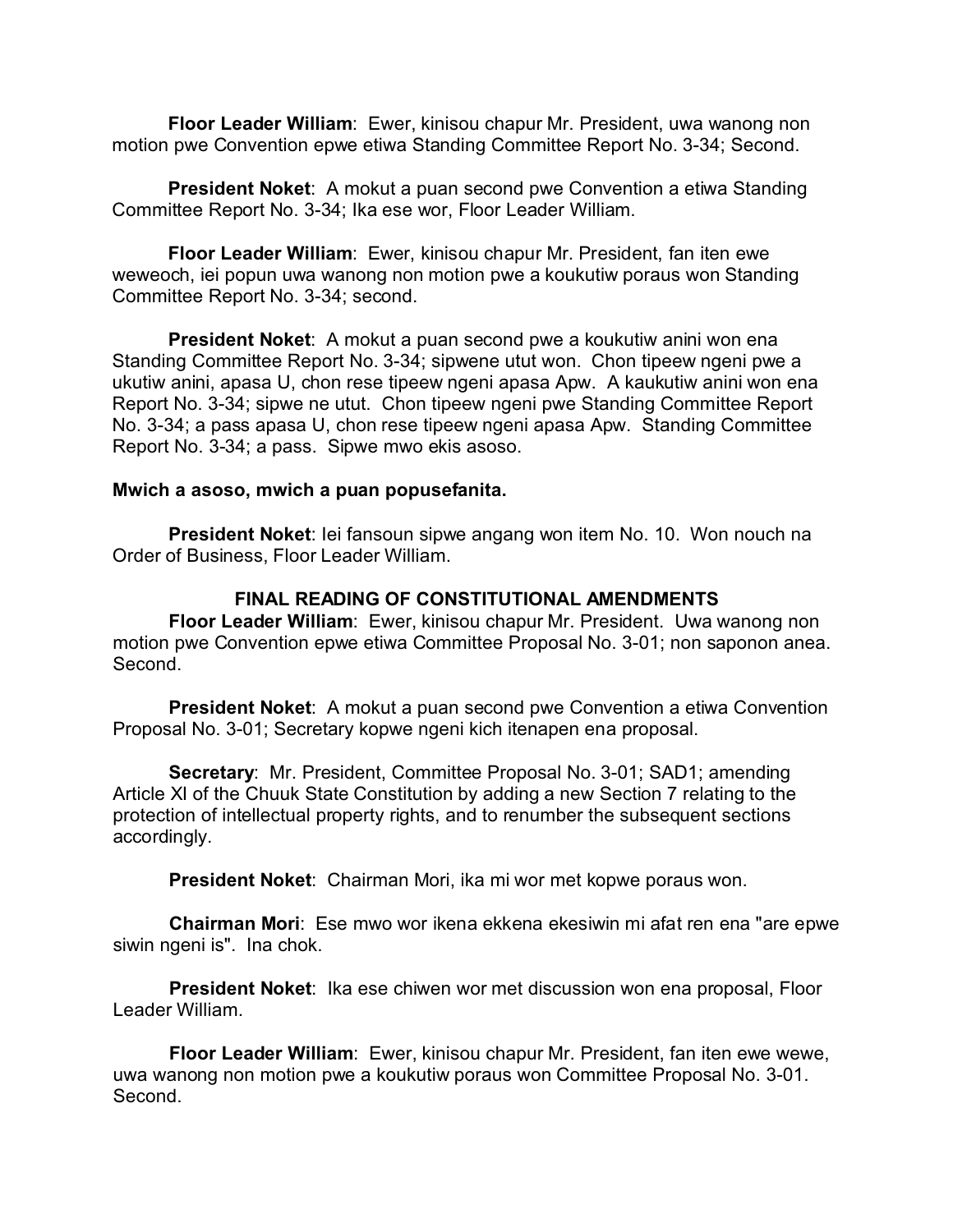**Floor Leader William**: Ewer, kinisou chapur Mr. President, uwa wanong non motion pwe Convention epwe etiwa Standing Committee Report No. 3-34; Second.

**President Noket**: A mokut a puan second pwe Convention a etiwa Standing Committee Report No. 3-34; Ika ese wor, Floor Leader William.

**Floor Leader William**: Ewer, kinisou chapur Mr. President, fan iten ewe weweoch, iei popun uwa wanong non motion pwe a koukutiw poraus won Standing Committee Report No. 3-34; second.

**President Noket**: A mokut a puan second pwe a koukutiw anini won ena Standing Committee Report No. 3-34; sipwene utut won. Chon tipeew ngeni pwe a ukutiw anini, apasa U, chon rese tipeew ngeni apasa Apw. A kaukutiw anini won ena Report No. 3-34; sipwe ne utut. Chon tipeew ngeni pwe Standing Committee Report No. 3-34; a pass apasa U, chon rese tipeew ngeni apasa Apw. Standing Committee Report No. 3-34; a pass. Sipwe mwo ekis asoso.

#### **Mwich a asoso, mwich a puan popusefanita.**

**President Noket**: Iei fansoun sipwe angang won item No. 10. Won nouch na Order of Business, Floor Leader William.

## **FINAL READING OF CONSTITUTIONAL AMENDMENTS**

**Floor Leader William**: Ewer, kinisou chapur Mr. President. Uwa wanong non motion pwe Convention epwe etiwa Committee Proposal No. 3-01; non saponon anea. Second.

**President Noket**: A mokut a puan second pwe Convention a etiwa Convention Proposal No. 3-01; Secretary kopwe ngeni kich itenapen ena proposal.

**Secretary**: Mr. President, Committee Proposal No. 3-01; SAD1; amending Article XI of the Chuuk State Constitution by adding a new Section 7 relating to the protection of intellectual property rights, and to renumber the subsequent sections accordingly.

**President Noket**: Chairman Mori, ika mi wor met kopwe poraus won.

**Chairman Mori**: Ese mwo wor ikena ekkena ekesiwin mi afat ren ena "are epwe siwin ngeni is". Ina chok.

**President Noket**: Ika ese chiwen wor met discussion won ena proposal, Floor Leader William.

**Floor Leader William**: Ewer, kinisou chapur Mr. President, fan iten ewe wewe, uwa wanong non motion pwe a koukutiw poraus won Committee Proposal No. 3-01. Second.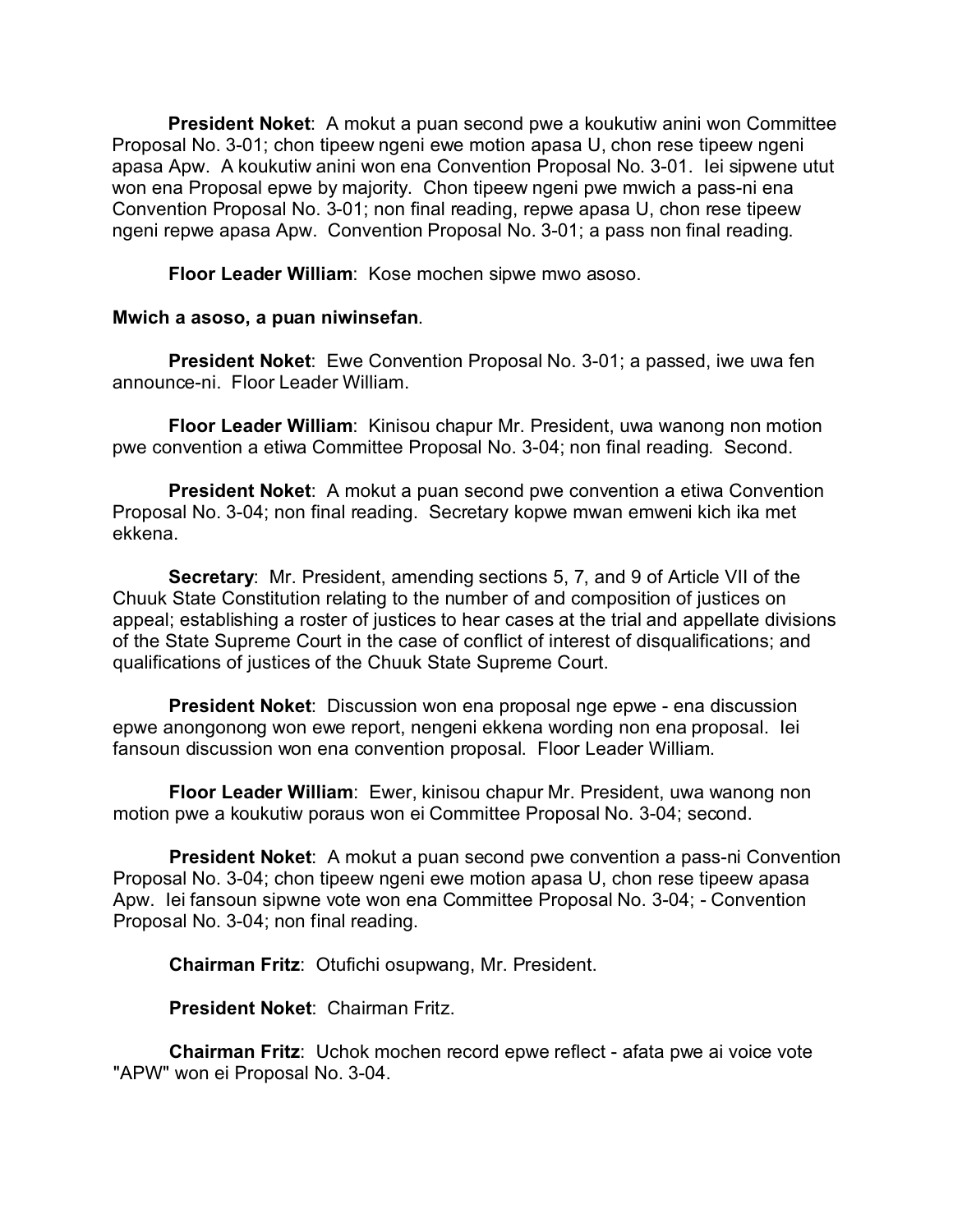**President Noket**: A mokut a puan second pwe a koukutiw anini won Committee Proposal No. 3-01; chon tipeew ngeni ewe motion apasa U, chon rese tipeew ngeni apasa Apw. A koukutiw anini won ena Convention Proposal No. 3-01. Iei sipwene utut won ena Proposal epwe by majority. Chon tipeew ngeni pwe mwich a pass-ni ena Convention Proposal No. 3-01; non final reading, repwe apasa U, chon rese tipeew ngeni repwe apasa Apw. Convention Proposal No. 3-01; a pass non final reading.

**Floor Leader William**: Kose mochen sipwe mwo asoso.

## **Mwich a asoso, a puan niwinsefan**.

**President Noket**: Ewe Convention Proposal No. 3-01; a passed, iwe uwa fen announce-ni. Floor Leader William.

**Floor Leader William**: Kinisou chapur Mr. President, uwa wanong non motion pwe convention a etiwa Committee Proposal No. 3-04; non final reading. Second.

**President Noket:** A mokut a puan second pwe convention a etiwa Convention Proposal No. 3-04; non final reading. Secretary kopwe mwan emweni kich ika met ekkena.

**Secretary**: Mr. President, amending sections 5, 7, and 9 of Article VII of the Chuuk State Constitution relating to the number of and composition of justices on appeal; establishing a roster of justices to hear cases at the trial and appellate divisions of the State Supreme Court in the case of conflict of interest of disqualifications; and qualifications of justices of the Chuuk State Supreme Court.

**President Noket**: Discussion won ena proposal nge epwe - ena discussion epwe anongonong won ewe report, nengeni ekkena wording non ena proposal. Iei fansoun discussion won ena convention proposal. Floor Leader William.

**Floor Leader William**: Ewer, kinisou chapur Mr. President, uwa wanong non motion pwe a koukutiw poraus won ei Committee Proposal No. 3-04; second.

**President Noket**: A mokut a puan second pwe convention a pass-ni Convention Proposal No. 3-04; chon tipeew ngeni ewe motion apasa U, chon rese tipeew apasa Apw. Iei fansoun sipwne vote won ena Committee Proposal No. 3-04; - Convention Proposal No. 3-04; non final reading.

**Chairman Fritz**: Otufichi osupwang, Mr. President.

**President Noket**: Chairman Fritz.

**Chairman Fritz**: Uchok mochen record epwe reflect - afata pwe ai voice vote "APW" won ei Proposal No. 3-04.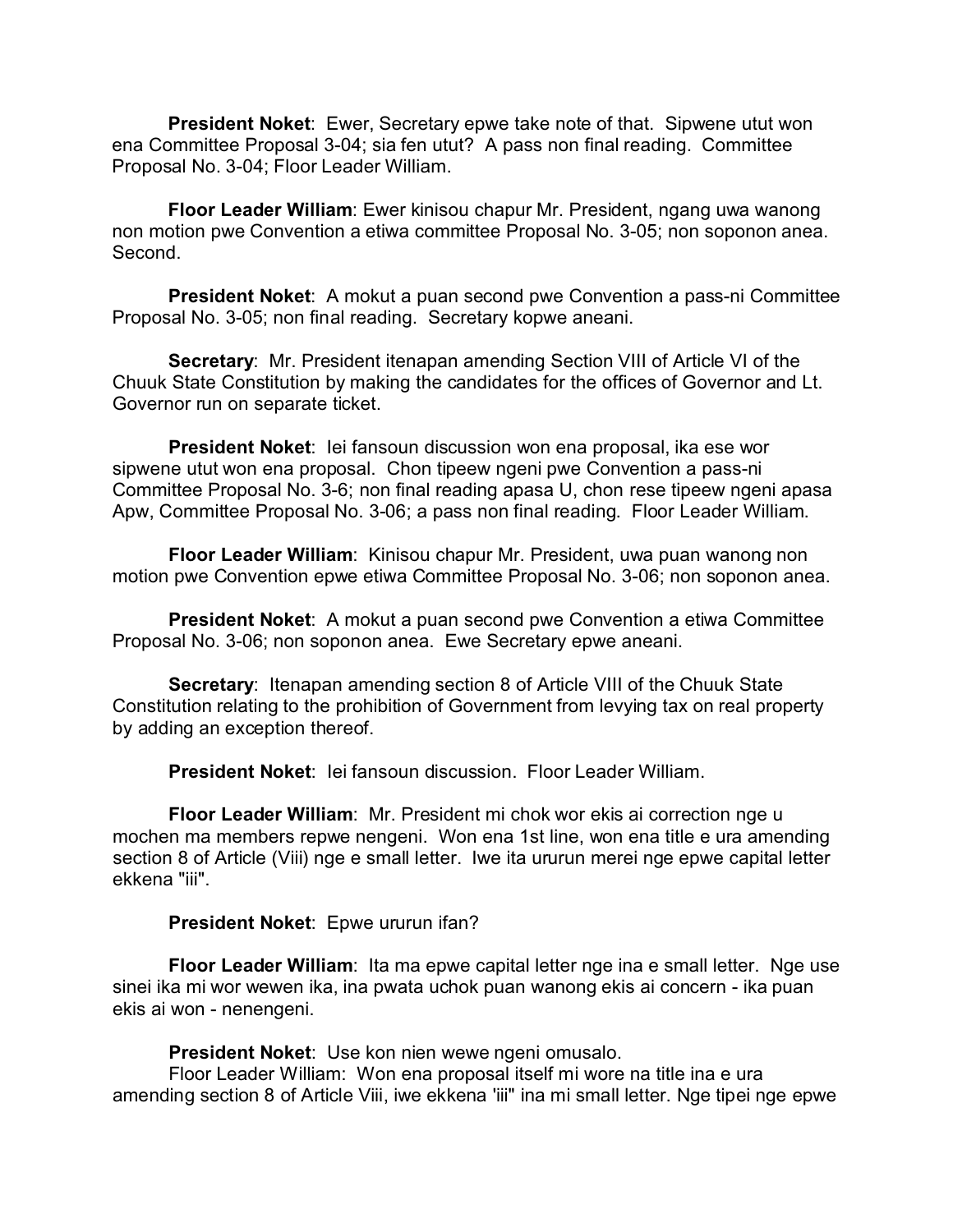**President Noket**: Ewer, Secretary epwe take note of that. Sipwene utut won ena Committee Proposal 3-04; sia fen utut? A pass non final reading. Committee Proposal No. 3-04; Floor Leader William.

**Floor Leader William**: Ewer kinisou chapur Mr. President, ngang uwa wanong non motion pwe Convention a etiwa committee Proposal No. 3-05; non soponon anea. Second.

**President Noket**: A mokut a puan second pwe Convention a pass-ni Committee Proposal No. 3-05; non final reading. Secretary kopwe aneani.

**Secretary**: Mr. President itenapan amending Section VIII of Article VI of the Chuuk State Constitution by making the candidates for the offices of Governor and Lt. Governor run on separate ticket.

**President Noket**: Iei fansoun discussion won ena proposal, ika ese wor sipwene utut won ena proposal. Chon tipeew ngeni pwe Convention a pass-ni Committee Proposal No. 3-6; non final reading apasa U, chon rese tipeew ngeni apasa Apw, Committee Proposal No. 3-06; a pass non final reading. Floor Leader William.

**Floor Leader William**: Kinisou chapur Mr. President, uwa puan wanong non motion pwe Convention epwe etiwa Committee Proposal No. 3-06; non soponon anea.

**President Noket**: A mokut a puan second pwe Convention a etiwa Committee Proposal No. 3-06; non soponon anea. Ewe Secretary epwe aneani.

**Secretary:** Itenapan amending section 8 of Article VIII of the Chuuk State Constitution relating to the prohibition of Government from levying tax on real property by adding an exception thereof.

**President Noket**: Iei fansoun discussion. Floor Leader William.

**Floor Leader William**: Mr. President mi chok wor ekis ai correction nge u mochen ma members repwe nengeni. Won ena 1st line, won ena title e ura amending section 8 of Article (Viii) nge e small letter. Iwe ita ururun merei nge epwe capital letter ekkena "iii".

**President Noket**: Epwe ururun ifan?

**Floor Leader William**: Ita ma epwe capital letter nge ina e small letter. Nge use sinei ika mi wor wewen ika, ina pwata uchok puan wanong ekis ai concern - ika puan ekis ai won - nenengeni.

**President Noket**: Use kon nien wewe ngeni omusalo.

Floor Leader William: Won ena proposal itself mi wore na title ina e ura amending section 8 of Article Viii, iwe ekkena 'iii" ina mi small letter. Nge tipei nge epwe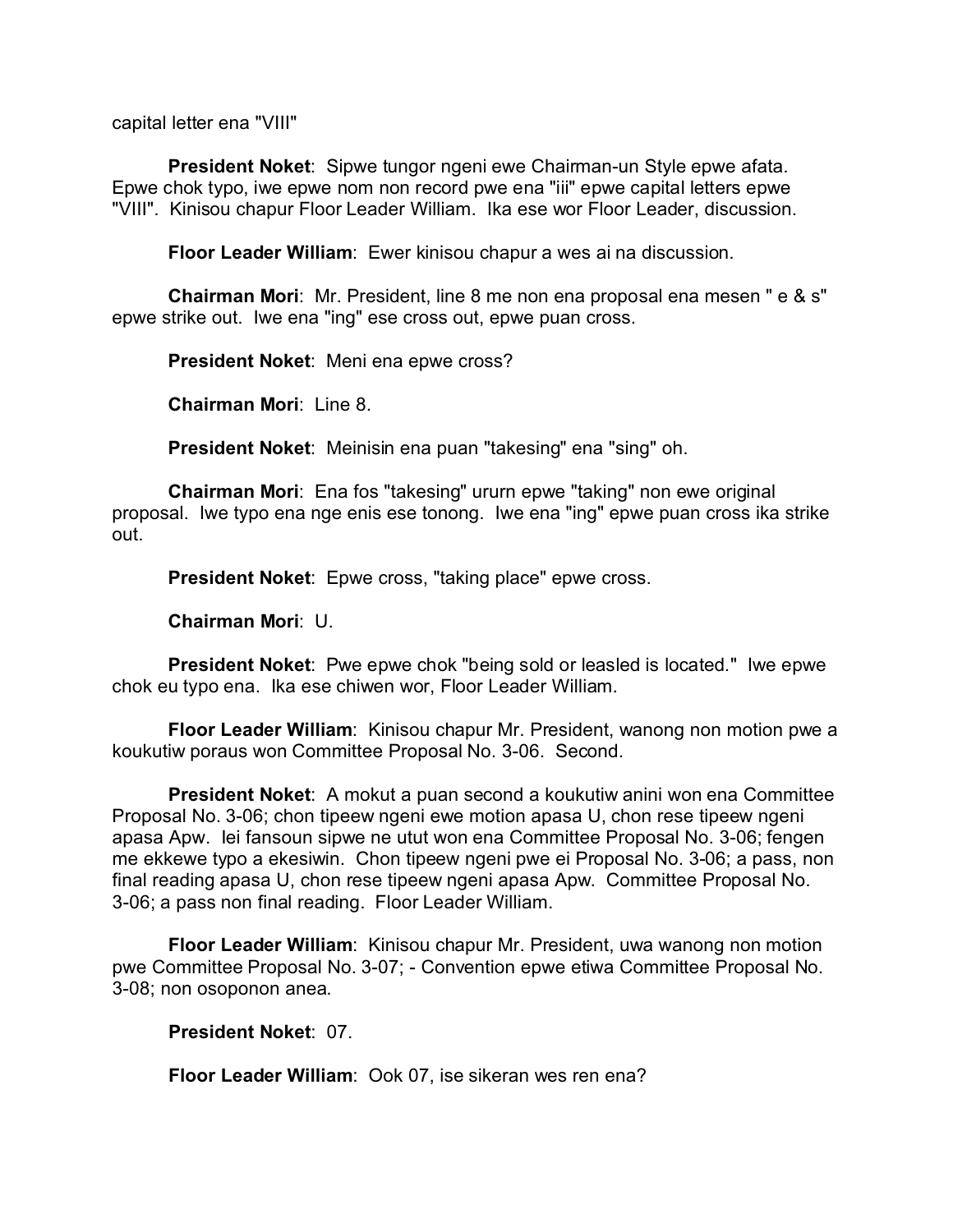capital letter ena "VIII"

**President Noket**: Sipwe tungor ngeni ewe Chairman-un Style epwe afata. Epwe chok typo, iwe epwe nom non record pwe ena "iii" epwe capital letters epwe "VIII". Kinisou chapur Floor Leader William. Ika ese wor Floor Leader, discussion.

**Floor Leader William**: Ewer kinisou chapur a wes ai na discussion.

**Chairman Mori**: Mr. President, line 8 me non ena proposal ena mesen " e & s" epwe strike out. Iwe ena "ing" ese cross out, epwe puan cross.

**President Noket**: Meni ena epwe cross?

**Chairman Mori**: Line 8.

**President Noket**: Meinisin ena puan "takesing" ena "sing" oh.

**Chairman Mori**: Ena fos "takesing" ururn epwe "taking" non ewe original proposal. Iwe typo ena nge enis ese tonong. Iwe ena "ing" epwe puan cross ika strike out.

**President Noket**: Epwe cross, "taking place" epwe cross.

**Chairman Mori**: U.

**President Noket**: Pwe epwe chok "being sold or leasled is located." Iwe epwe chok eu typo ena. Ika ese chiwen wor, Floor Leader William.

**Floor Leader William**: Kinisou chapur Mr. President, wanong non motion pwe a koukutiw poraus won Committee Proposal No. 3-06. Second.

**President Noket**: A mokut a puan second a koukutiw anini won ena Committee Proposal No. 3-06; chon tipeew ngeni ewe motion apasa U, chon rese tipeew ngeni apasa Apw. Iei fansoun sipwe ne utut won ena Committee Proposal No. 3-06; fengen me ekkewe typo a ekesiwin. Chon tipeew ngeni pwe ei Proposal No. 3-06; a pass, non final reading apasa U, chon rese tipeew ngeni apasa Apw. Committee Proposal No. 3-06; a pass non final reading. Floor Leader William.

**Floor Leader William**: Kinisou chapur Mr. President, uwa wanong non motion pwe Committee Proposal No. 3-07; - Convention epwe etiwa Committee Proposal No. 3-08; non osoponon anea.

**President Noket**: 07.

**Floor Leader William**: Ook 07, ise sikeran wes ren ena?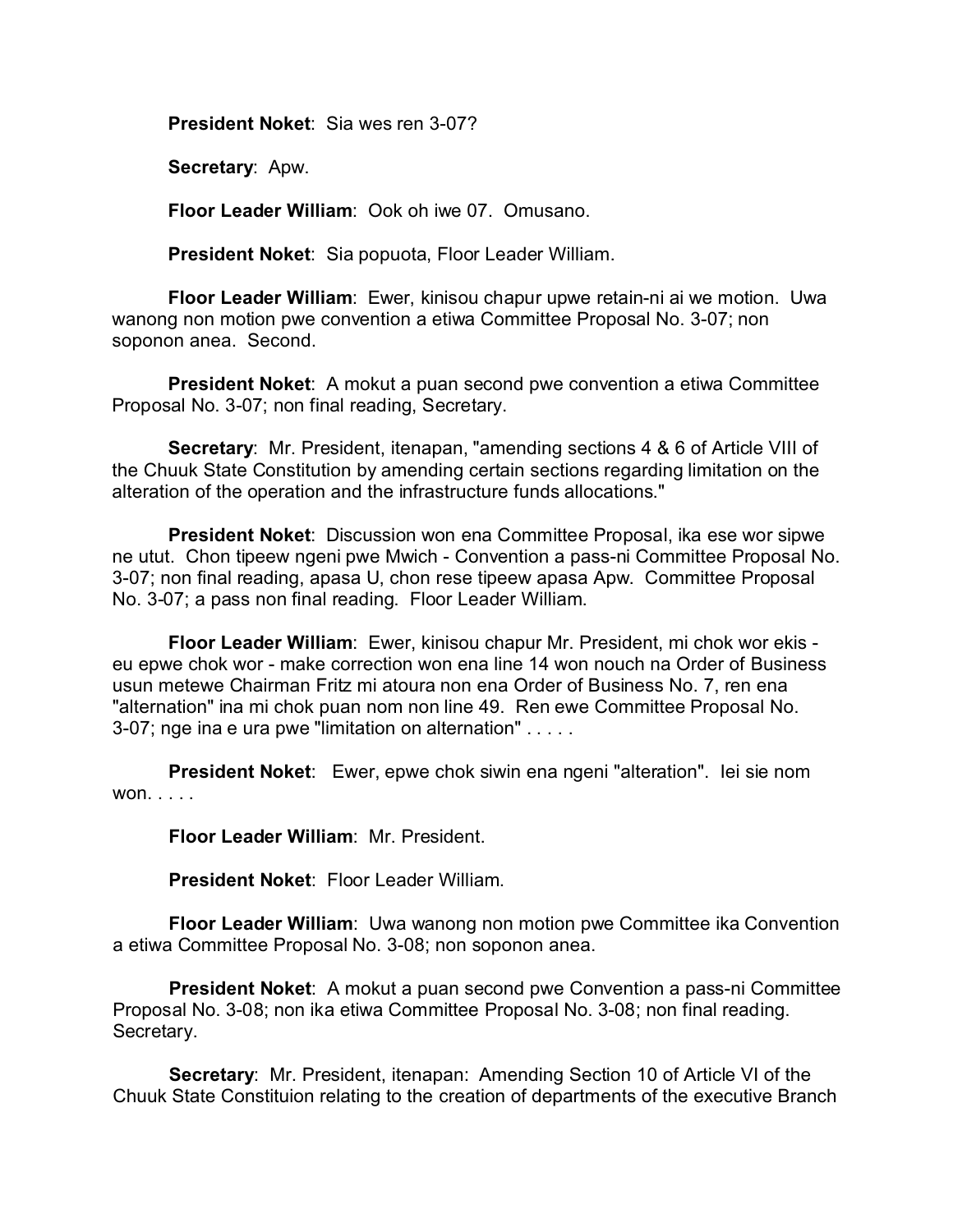**President Noket**: Sia wes ren 3-07?

**Secretary**: Apw.

**Floor Leader William**: Ook oh iwe 07. Omusano.

**President Noket**: Sia popuota, Floor Leader William.

**Floor Leader William**: Ewer, kinisou chapur upwe retain-ni ai we motion. Uwa wanong non motion pwe convention a etiwa Committee Proposal No. 3-07; non soponon anea. Second.

**President Noket**: A mokut a puan second pwe convention a etiwa Committee Proposal No. 3-07; non final reading, Secretary.

**Secretary**: Mr. President, itenapan, "amending sections 4 & 6 of Article VIII of the Chuuk State Constitution by amending certain sections regarding limitation on the alteration of the operation and the infrastructure funds allocations."

**President Noket**: Discussion won ena Committee Proposal, ika ese wor sipwe ne utut. Chon tipeew ngeni pwe Mwich - Convention a pass-ni Committee Proposal No. 3-07; non final reading, apasa U, chon rese tipeew apasa Apw. Committee Proposal No. 3-07; a pass non final reading. Floor Leader William.

**Floor Leader William**: Ewer, kinisou chapur Mr. President, mi chok wor ekis eu epwe chok wor - make correction won ena line 14 won nouch na Order of Business usun metewe Chairman Fritz mi atoura non ena Order of Business No. 7, ren ena "alternation" ina mi chok puan nom non line 49. Ren ewe Committee Proposal No. 3-07; nge ina e ura pwe "limitation on alternation" . . . . .

**President Noket**: Ewer, epwe chok siwin ena ngeni "alteration". Iei sie nom won. . . . .

**Floor Leader William**: Mr. President.

**President Noket**: Floor Leader William.

**Floor Leader William**: Uwa wanong non motion pwe Committee ika Convention a etiwa Committee Proposal No. 3-08; non soponon anea.

**President Noket**: A mokut a puan second pwe Convention a pass-ni Committee Proposal No. 3-08; non ika etiwa Committee Proposal No. 3-08; non final reading. Secretary.

**Secretary**: Mr. President, itenapan: Amending Section 10 of Article VI of the Chuuk State Constituion relating to the creation of departments of the executive Branch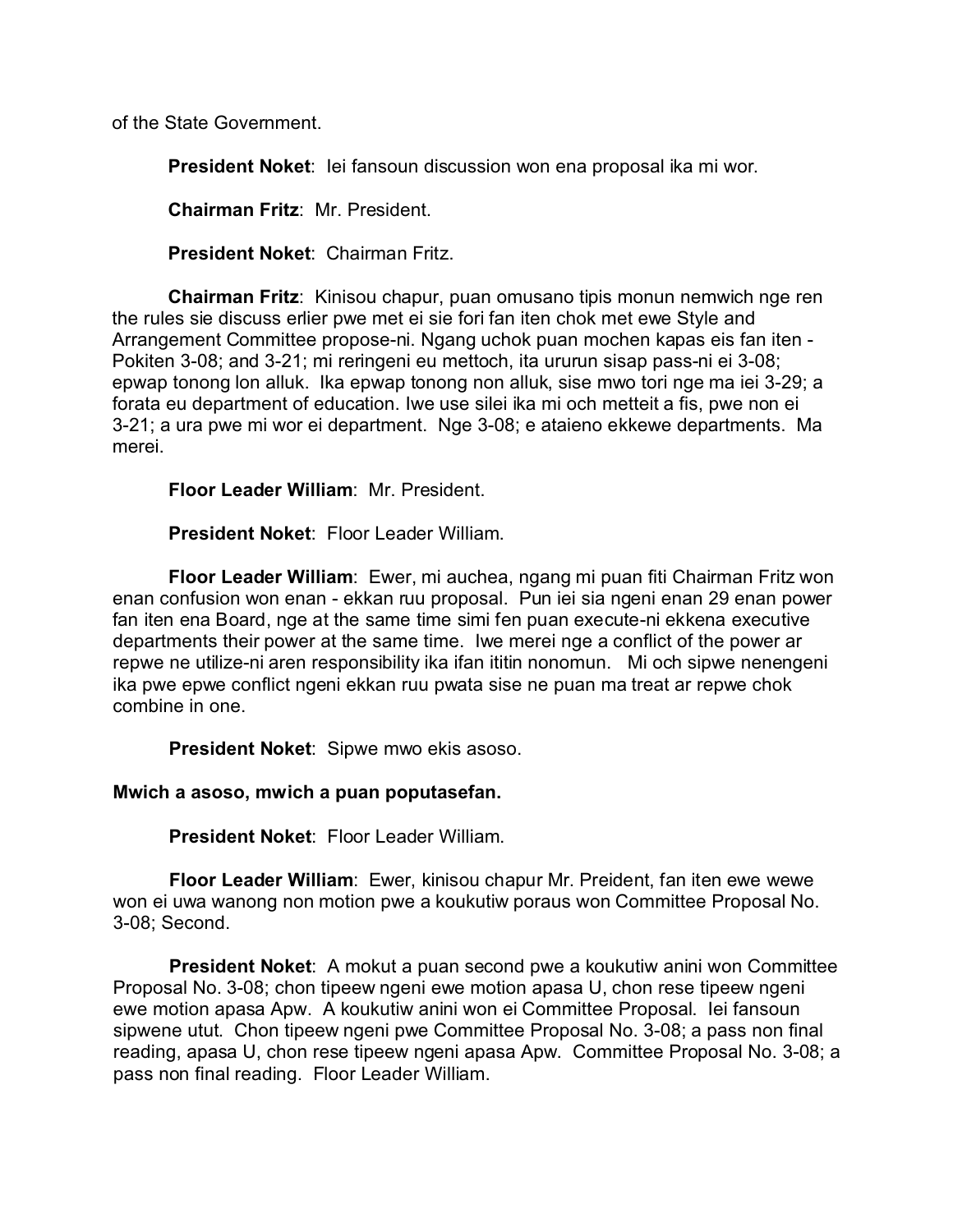of the State Government.

**President Noket**: Iei fansoun discussion won ena proposal ika mi wor.

**Chairman Fritz**: Mr. President.

**President Noket**: Chairman Fritz.

**Chairman Fritz**: Kinisou chapur, puan omusano tipis monun nemwich nge ren the rules sie discuss erlier pwe met ei sie fori fan iten chok met ewe Style and Arrangement Committee propose-ni. Ngang uchok puan mochen kapas eis fan iten - Pokiten 3-08; and 3-21; mi reringeni eu mettoch, ita ururun sisap pass-ni ei 3-08; epwap tonong lon alluk. Ika epwap tonong non alluk, sise mwo tori nge ma iei 3-29; a forata eu department of education. Iwe use silei ika mi och metteit a fis, pwe non ei 3-21; a ura pwe mi wor ei department. Nge 3-08; e ataieno ekkewe departments. Ma merei.

**Floor Leader William**: Mr. President.

**President Noket**: Floor Leader William.

**Floor Leader William**: Ewer, mi auchea, ngang mi puan fiti Chairman Fritz won enan confusion won enan - ekkan ruu proposal. Pun iei sia ngeni enan 29 enan power fan iten ena Board, nge at the same time simi fen puan execute-ni ekkena executive departments their power at the same time. Iwe merei nge a conflict of the power ar repwe ne utilize-ni aren responsibility ika ifan ititin nonomun. Mi och sipwe nenengeni ika pwe epwe conflict ngeni ekkan ruu pwata sise ne puan ma treat ar repwe chok combine in one.

**President Noket**: Sipwe mwo ekis asoso.

**Mwich a asoso, mwich a puan poputasefan.**

**President Noket**: Floor Leader William.

**Floor Leader William**: Ewer, kinisou chapur Mr. Preident, fan iten ewe wewe won ei uwa wanong non motion pwe a koukutiw poraus won Committee Proposal No. 3-08; Second.

**President Noket**: A mokut a puan second pwe a koukutiw anini won Committee Proposal No. 3-08; chon tipeew ngeni ewe motion apasa U, chon rese tipeew ngeni ewe motion apasa Apw. A koukutiw anini won ei Committee Proposal. Iei fansoun sipwene utut. Chon tipeew ngeni pwe Committee Proposal No. 3-08; a pass non final reading, apasa U, chon rese tipeew ngeni apasa Apw. Committee Proposal No. 3-08; a pass non final reading. Floor Leader William.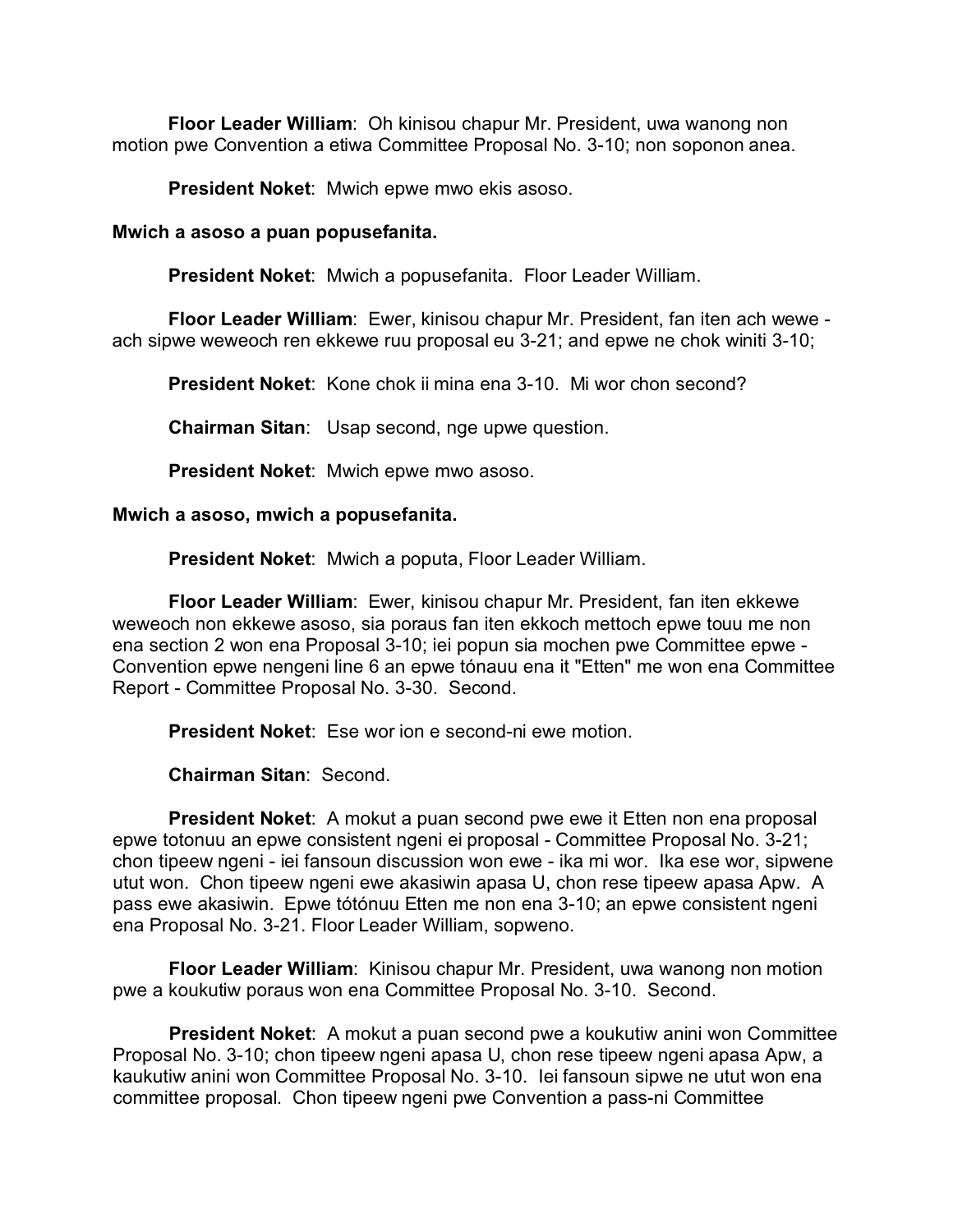**Floor Leader William**: Oh kinisou chapur Mr. President, uwa wanong non motion pwe Convention a etiwa Committee Proposal No. 3-10; non soponon anea.

**President Noket**: Mwich epwe mwo ekis asoso.

## **Mwich a asoso a puan popusefanita.**

**President Noket**: Mwich a popusefanita. Floor Leader William.

**Floor Leader William**: Ewer, kinisou chapur Mr. President, fan iten ach wewe ach sipwe weweoch ren ekkewe ruu proposal eu 3-21; and epwe ne chok winiti 3-10;

**President Noket**: Kone chok ii mina ena 3-10. Mi wor chon second?

**Chairman Sitan**: Usap second, nge upwe question.

**President Noket**: Mwich epwe mwo asoso.

## **Mwich a asoso, mwich a popusefanita.**

**President Noket**: Mwich a poputa, Floor Leader William.

**Floor Leader William**: Ewer, kinisou chapur Mr. President, fan iten ekkewe weweoch non ekkewe asoso, sia poraus fan iten ekkoch mettoch epwe touu me non ena section 2 won ena Proposal 3-10; iei popun sia mochen pwe Committee epwe - Convention epwe nengeni line 6 an epwe tónauu ena it "Etten" me won ena Committee Report - Committee Proposal No. 3-30. Second.

**President Noket**: Ese wor ion e second-ni ewe motion.

**Chairman Sitan**: Second.

**President Noket**: A mokut a puan second pwe ewe it Etten non ena proposal epwe totonuu an epwe consistent ngeni ei proposal - Committee Proposal No. 3-21; chon tipeew ngeni - iei fansoun discussion won ewe - ika mi wor. Ika ese wor, sipwene utut won. Chon tipeew ngeni ewe akasiwin apasa U, chon rese tipeew apasa Apw. A pass ewe akasiwin. Epwe tótónuu Etten me non ena 3-10; an epwe consistent ngeni ena Proposal No. 3-21. Floor Leader William, sopweno.

**Floor Leader William**: Kinisou chapur Mr. President, uwa wanong non motion pwe a koukutiw poraus won ena Committee Proposal No. 3-10. Second.

**President Noket:** A mokut a puan second pwe a koukutiw anini won Committee Proposal No. 3-10; chon tipeew ngeni apasa U, chon rese tipeew ngeni apasa Apw, a kaukutiw anini won Committee Proposal No. 3-10. Iei fansoun sipwe ne utut won ena committee proposal. Chon tipeew ngeni pwe Convention a pass-ni Committee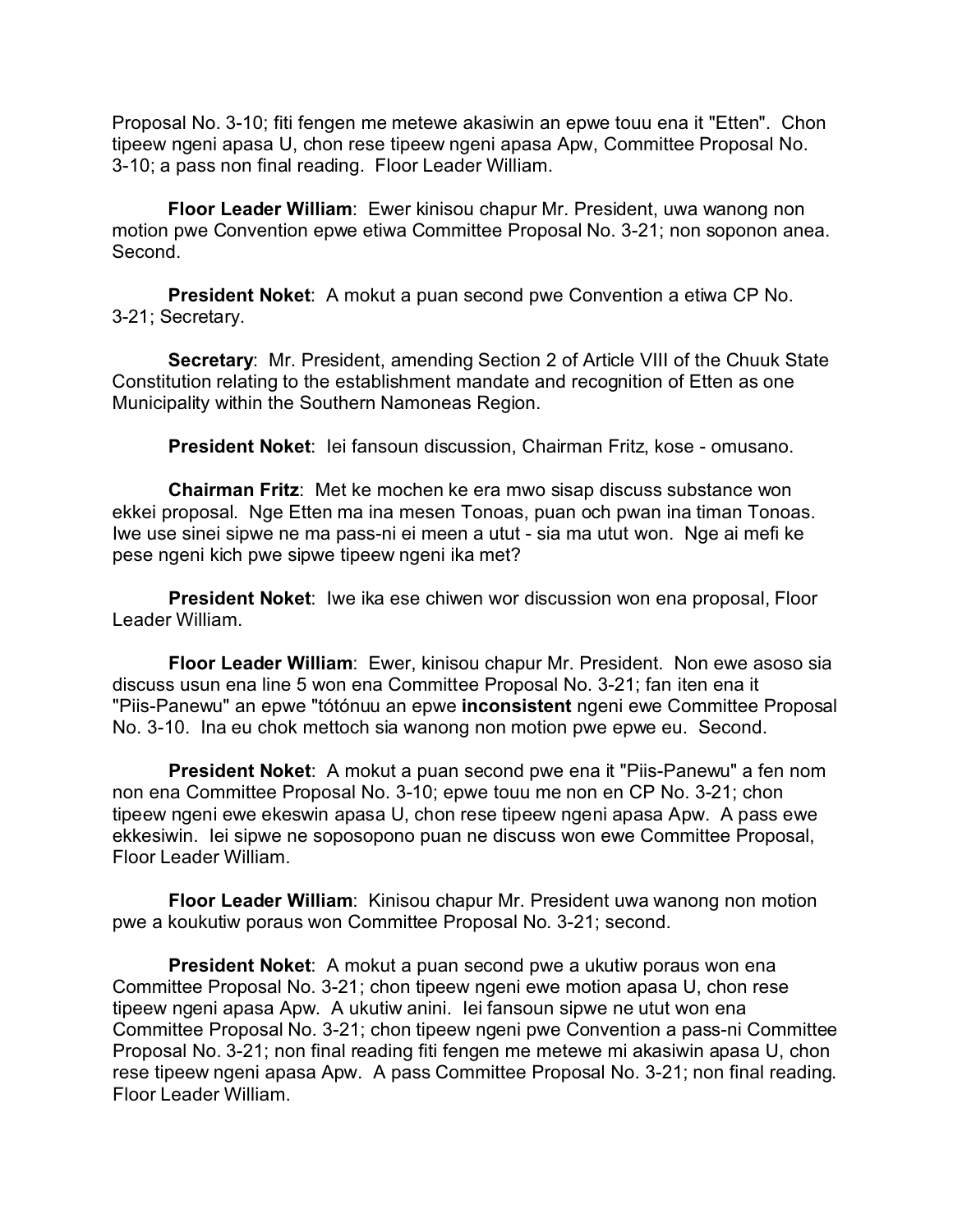Proposal No. 3-10; fiti fengen me metewe akasiwin an epwe touu ena it "Etten". Chon tipeew ngeni apasa U, chon rese tipeew ngeni apasa Apw, Committee Proposal No. 3-10; a pass non final reading. Floor Leader William.

**Floor Leader William**: Ewer kinisou chapur Mr. President, uwa wanong non motion pwe Convention epwe etiwa Committee Proposal No. 3-21; non soponon anea. Second.

**President Noket**: A mokut a puan second pwe Convention a etiwa CP No. 3-21; Secretary.

**Secretary**: Mr. President, amending Section 2 of Article VIII of the Chuuk State Constitution relating to the establishment mandate and recognition of Etten as one Municipality within the Southern Namoneas Region.

**President Noket**: Iei fansoun discussion, Chairman Fritz, kose - omusano.

**Chairman Fritz**: Met ke mochen ke era mwo sisap discuss substance won ekkei proposal. Nge Etten ma ina mesen Tonoas, puan och pwan ina timan Tonoas. Iwe use sinei sipwe ne ma pass-ni ei meen a utut - sia ma utut won. Nge ai mefi ke pese ngeni kich pwe sipwe tipeew ngeni ika met?

**President Noket**: Iwe ika ese chiwen wor discussion won ena proposal, Floor Leader William.

**Floor Leader William**: Ewer, kinisou chapur Mr. President. Non ewe asoso sia discuss usun ena line 5 won ena Committee Proposal No. 3-21; fan iten ena it "Piis-Panewu" an epwe "tótónuu an epwe **inconsistent** ngeni ewe Committee Proposal No. 3-10. Ina eu chok mettoch sia wanong non motion pwe epwe eu. Second.

**President Noket**: A mokut a puan second pwe ena it "Piis-Panewu" a fen nom non ena Committee Proposal No. 3-10; epwe touu me non en CP No. 3-21; chon tipeew ngeni ewe ekeswin apasa U, chon rese tipeew ngeni apasa Apw. A pass ewe ekkesiwin. Iei sipwe ne soposopono puan ne discuss won ewe Committee Proposal, Floor Leader William.

**Floor Leader William**: Kinisou chapur Mr. President uwa wanong non motion pwe a koukutiw poraus won Committee Proposal No. 3-21; second.

**President Noket:** A mokut a puan second pwe a ukutiw poraus won ena Committee Proposal No. 3-21; chon tipeew ngeni ewe motion apasa U, chon rese tipeew ngeni apasa Apw. A ukutiw anini. Iei fansoun sipwe ne utut won ena Committee Proposal No. 3-21; chon tipeew ngeni pwe Convention a pass-ni Committee Proposal No. 3-21; non final reading fiti fengen me metewe mi akasiwin apasa U, chon rese tipeew ngeni apasa Apw. A pass Committee Proposal No. 3-21; non final reading. Floor Leader William.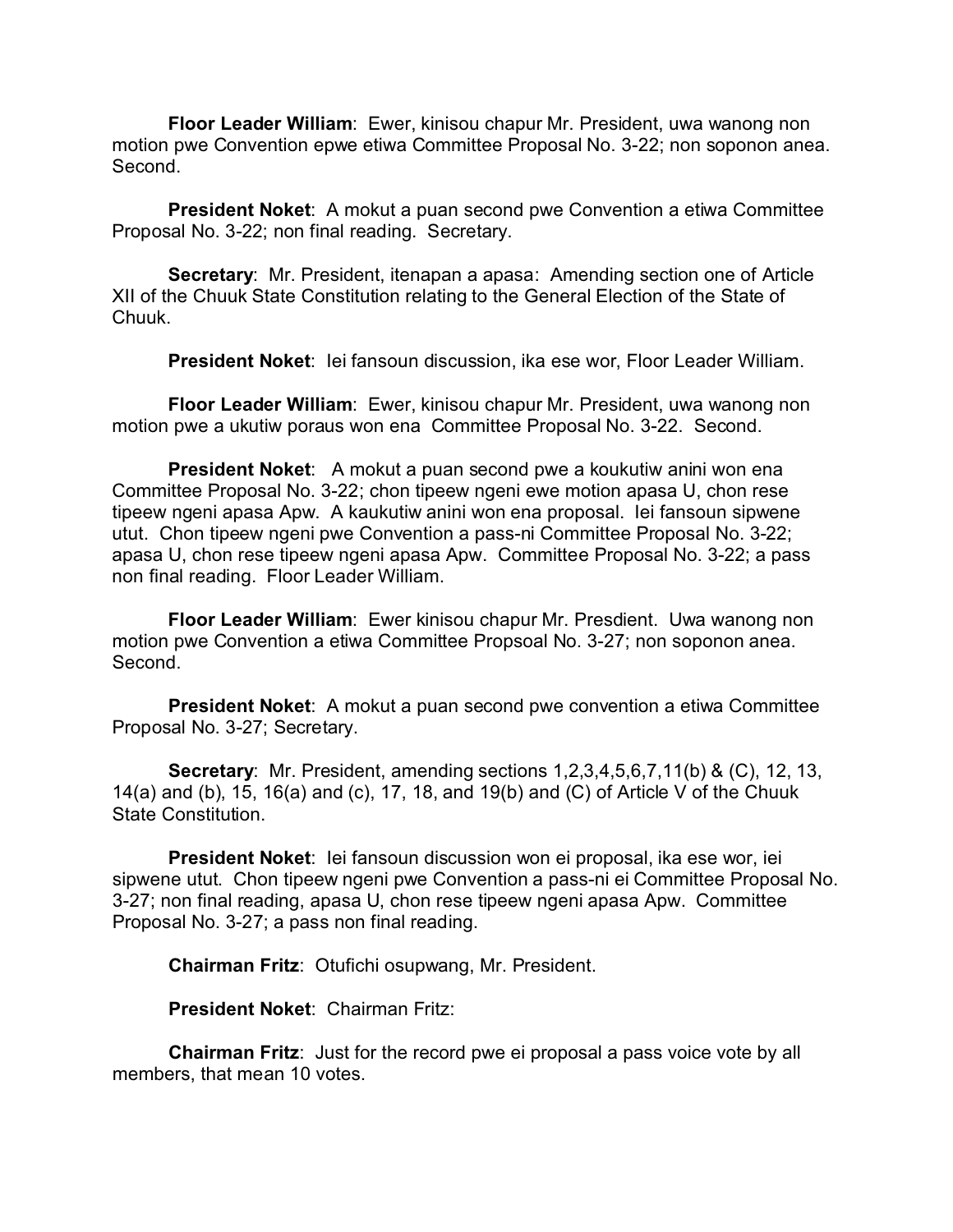**Floor Leader William**: Ewer, kinisou chapur Mr. President, uwa wanong non motion pwe Convention epwe etiwa Committee Proposal No. 3-22; non soponon anea. Second.

**President Noket**: A mokut a puan second pwe Convention a etiwa Committee Proposal No. 3-22; non final reading. Secretary.

**Secretary**: Mr. President, itenapan a apasa: Amending section one of Article XII of the Chuuk State Constitution relating to the General Election of the State of Chuuk.

**President Noket**: Iei fansoun discussion, ika ese wor, Floor Leader William.

**Floor Leader William**: Ewer, kinisou chapur Mr. President, uwa wanong non motion pwe a ukutiw poraus won ena Committee Proposal No. 3-22. Second.

**President Noket:** A mokut a puan second pwe a koukutiw anini won ena Committee Proposal No. 3-22; chon tipeew ngeni ewe motion apasa U, chon rese tipeew ngeni apasa Apw. A kaukutiw anini won ena proposal. Iei fansoun sipwene utut. Chon tipeew ngeni pwe Convention a pass-ni Committee Proposal No. 3-22; apasa U, chon rese tipeew ngeni apasa Apw. Committee Proposal No. 3-22; a pass non final reading. Floor Leader William.

**Floor Leader William**: Ewer kinisou chapur Mr. Presdient. Uwa wanong non motion pwe Convention a etiwa Committee Propsoal No. 3-27; non soponon anea. Second.

**President Noket**: A mokut a puan second pwe convention a etiwa Committee Proposal No. 3-27; Secretary.

**Secretary**: Mr. President, amending sections 1,2,3,4,5,6,7,11(b) & (C), 12, 13, 14(a) and (b), 15, 16(a) and (c), 17, 18, and 19(b) and (C) of Article V of the Chuuk State Constitution.

**President Noket**: Iei fansoun discussion won ei proposal, ika ese wor, iei sipwene utut. Chon tipeew ngeni pwe Convention a pass-ni ei Committee Proposal No. 3-27; non final reading, apasa U, chon rese tipeew ngeni apasa Apw. Committee Proposal No. 3-27; a pass non final reading.

**Chairman Fritz**: Otufichi osupwang, Mr. President.

**President Noket**: Chairman Fritz:

**Chairman Fritz**: Just for the record pwe ei proposal a pass voice vote by all members, that mean 10 votes.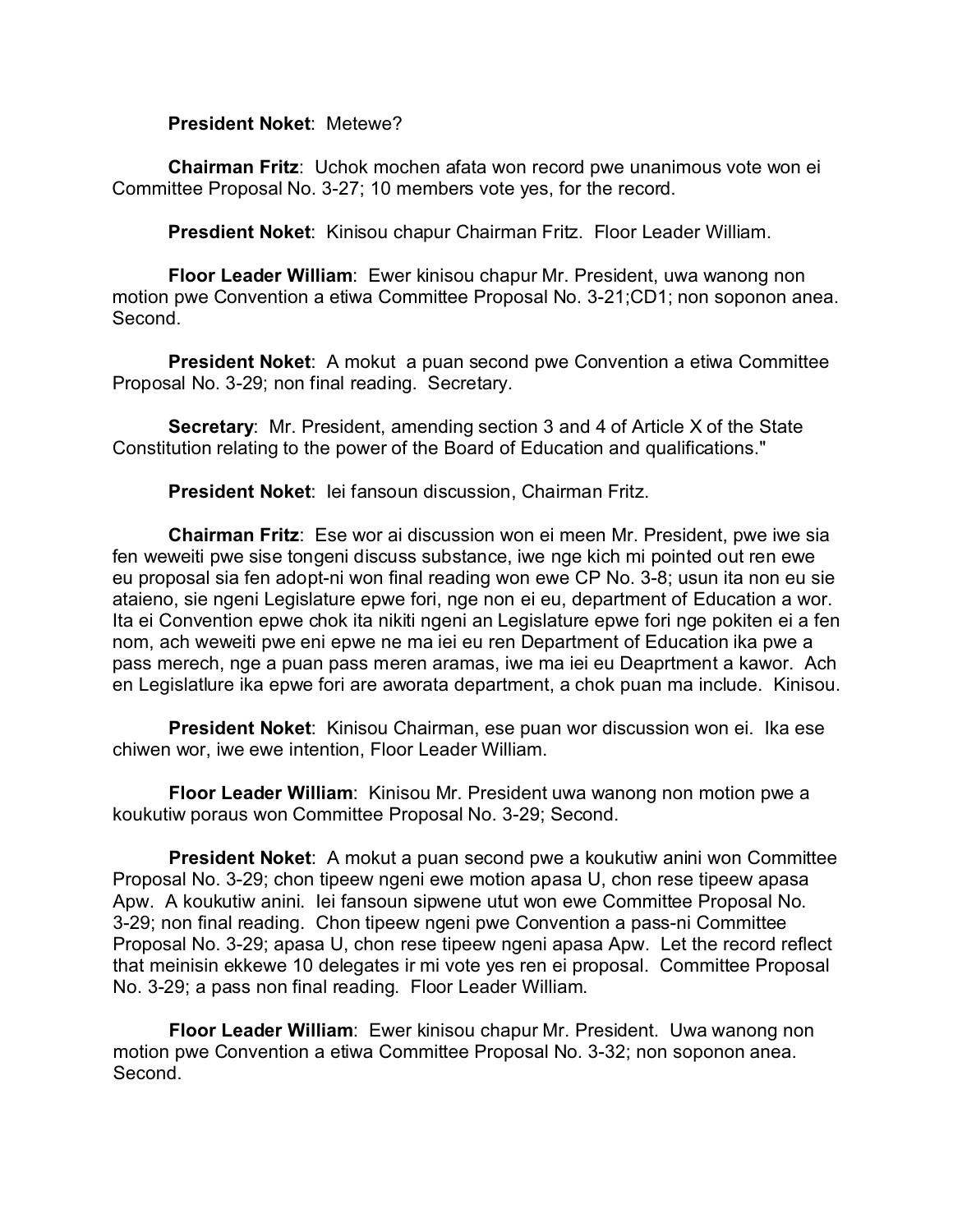## **President Noket**: Metewe?

**Chairman Fritz**: Uchok mochen afata won record pwe unanimous vote won ei Committee Proposal No. 3-27; 10 members vote yes, for the record.

**Presdient Noket**: Kinisou chapur Chairman Fritz. Floor Leader William.

**Floor Leader William**: Ewer kinisou chapur Mr. President, uwa wanong non motion pwe Convention a etiwa Committee Proposal No. 3-21;CD1; non soponon anea. Second.

**President Noket**: A mokut a puan second pwe Convention a etiwa Committee Proposal No. 3-29; non final reading. Secretary.

**Secretary**: Mr. President, amending section 3 and 4 of Article X of the State Constitution relating to the power of the Board of Education and qualifications."

**President Noket**: Iei fansoun discussion, Chairman Fritz.

**Chairman Fritz**: Ese wor ai discussion won ei meen Mr. President, pwe iwe sia fen weweiti pwe sise tongeni discuss substance, iwe nge kich mi pointed out ren ewe eu proposal sia fen adopt-ni won final reading won ewe CP No. 3-8; usun ita non eu sie ataieno, sie ngeni Legislature epwe fori, nge non ei eu, department of Education a wor. Ita ei Convention epwe chok ita nikiti ngeni an Legislature epwe fori nge pokiten ei a fen nom, ach weweiti pwe eni epwe ne ma iei eu ren Department of Education ika pwe a pass merech, nge a puan pass meren aramas, iwe ma iei eu Deaprtment a kawor. Ach en Legislatlure ika epwe fori are aworata department, a chok puan ma include. Kinisou.

**President Noket**: Kinisou Chairman, ese puan wor discussion won ei. Ika ese chiwen wor, iwe ewe intention, Floor Leader William.

**Floor Leader William**: Kinisou Mr. President uwa wanong non motion pwe a koukutiw poraus won Committee Proposal No. 3-29; Second.

**President Noket:** A mokut a puan second pwe a koukutiw anini won Committee Proposal No. 3-29; chon tipeew ngeni ewe motion apasa U, chon rese tipeew apasa Apw. A koukutiw anini. Iei fansoun sipwene utut won ewe Committee Proposal No. 3-29; non final reading. Chon tipeew ngeni pwe Convention a pass-ni Committee Proposal No. 3-29; apasa U, chon rese tipeew ngeni apasa Apw. Let the record reflect that meinisin ekkewe 10 delegates ir mi vote yes ren ei proposal. Committee Proposal No. 3-29; a pass non final reading. Floor Leader William.

**Floor Leader William**: Ewer kinisou chapur Mr. President. Uwa wanong non motion pwe Convention a etiwa Committee Proposal No. 3-32; non soponon anea. Second.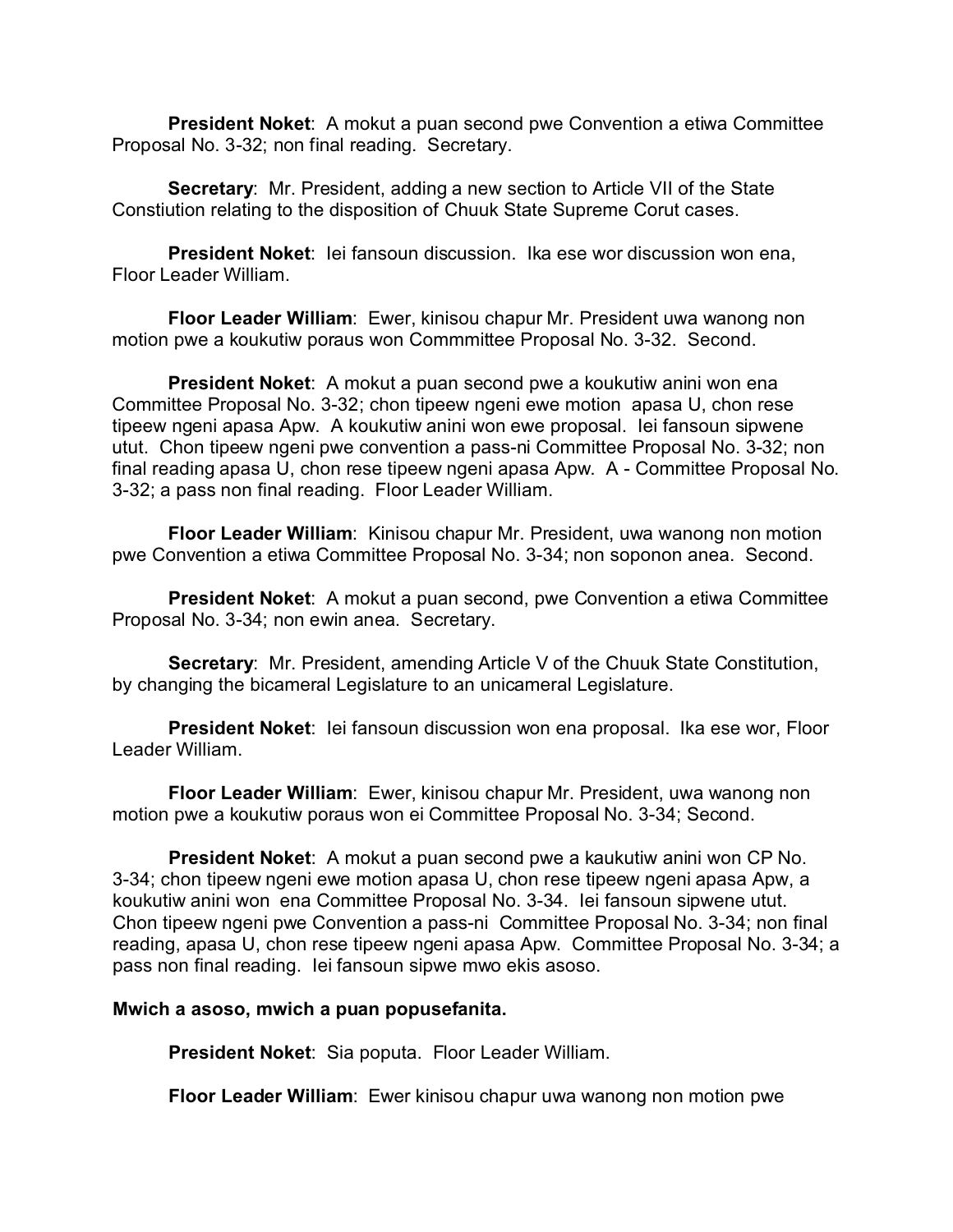**President Noket**: A mokut a puan second pwe Convention a etiwa Committee Proposal No. 3-32; non final reading. Secretary.

**Secretary:** Mr. President, adding a new section to Article VII of the State Constiution relating to the disposition of Chuuk State Supreme Corut cases.

**President Noket**: Iei fansoun discussion. Ika ese wor discussion won ena, Floor Leader William.

**Floor Leader William**: Ewer, kinisou chapur Mr. President uwa wanong non motion pwe a koukutiw poraus won Commmittee Proposal No. 3-32. Second.

**President Noket**: A mokut a puan second pwe a koukutiw anini won ena Committee Proposal No. 3-32; chon tipeew ngeni ewe motion apasa U, chon rese tipeew ngeni apasa Apw. A koukutiw anini won ewe proposal. Iei fansoun sipwene utut. Chon tipeew ngeni pwe convention a pass-ni Committee Proposal No. 3-32; non final reading apasa U, chon rese tipeew ngeni apasa Apw. A - Committee Proposal No. 3-32; a pass non final reading. Floor Leader William.

**Floor Leader William**: Kinisou chapur Mr. President, uwa wanong non motion pwe Convention a etiwa Committee Proposal No. 3-34; non soponon anea. Second.

**President Noket:** A mokut a puan second, pwe Convention a etiwa Committee Proposal No. 3-34; non ewin anea. Secretary.

**Secretary**: Mr. President, amending Article V of the Chuuk State Constitution, by changing the bicameral Legislature to an unicameral Legislature.

**President Noket**: Iei fansoun discussion won ena proposal. Ika ese wor, Floor Leader William.

**Floor Leader William**: Ewer, kinisou chapur Mr. President, uwa wanong non motion pwe a koukutiw poraus won ei Committee Proposal No. 3-34; Second.

**President Noket**: A mokut a puan second pwe a kaukutiw anini won CP No. 3-34; chon tipeew ngeni ewe motion apasa U, chon rese tipeew ngeni apasa Apw, a koukutiw anini won ena Committee Proposal No. 3-34. Iei fansoun sipwene utut. Chon tipeew ngeni pwe Convention a pass-ni Committee Proposal No. 3-34; non final reading, apasa U, chon rese tipeew ngeni apasa Apw. Committee Proposal No. 3-34; a pass non final reading. Iei fansoun sipwe mwo ekis asoso.

## **Mwich a asoso, mwich a puan popusefanita.**

**President Noket**: Sia poputa. Floor Leader William.

**Floor Leader William**: Ewer kinisou chapur uwa wanong non motion pwe